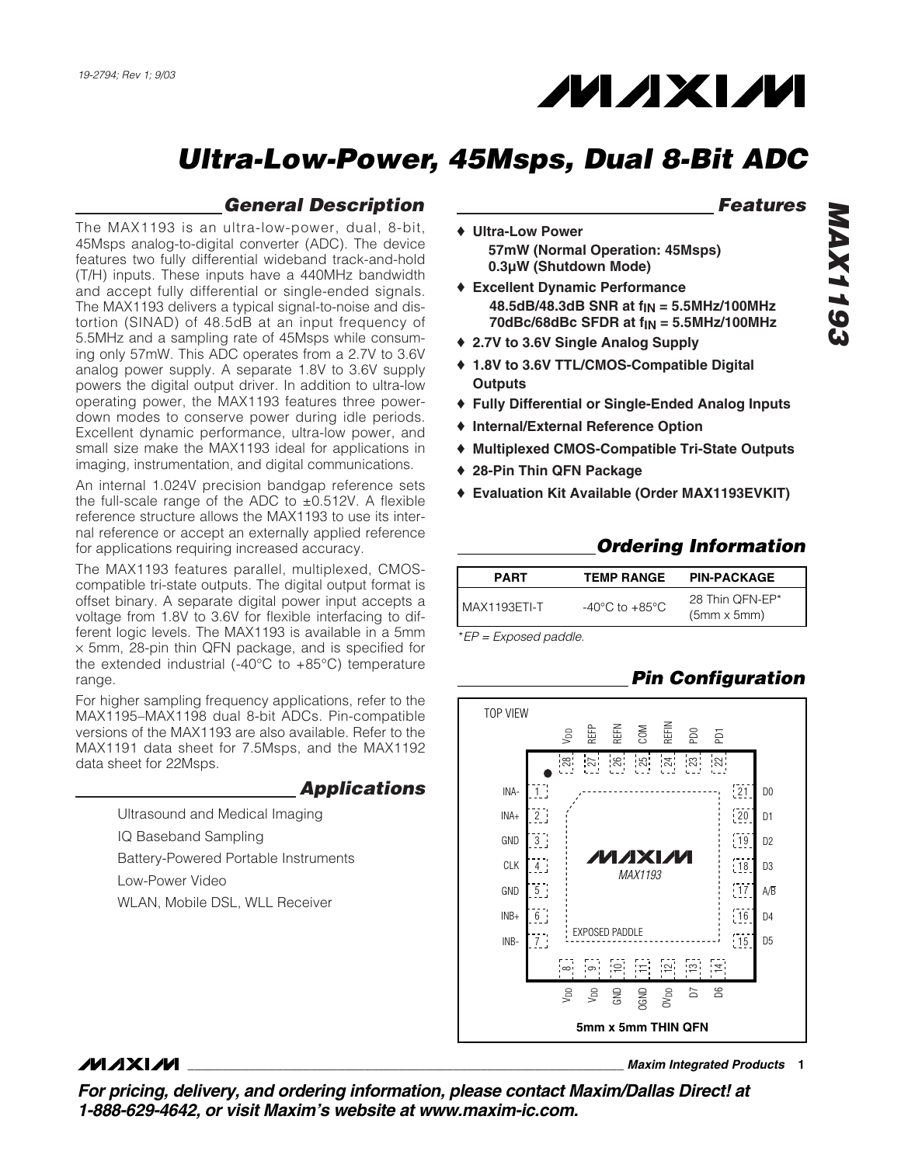## **MAXM**

## *Ultra-Low-Power, 45Msps, Dual 8-Bit ADC*

#### *General Description*

The MAX1193 is an ultra-low-power, dual, 8-bit, 45Msps analog-to-digital converter (ADC). The device features two fully differential wideband track-and-hold (T/H) inputs. These inputs have a 440MHz bandwidth and accept fully differential or single-ended signals. The MAX1193 delivers a typical signal-to-noise and distortion (SINAD) of 48.5dB at an input frequency of 5.5MHz and a sampling rate of 45Msps while consuming only 57mW. This ADC operates from a 2.7V to 3.6V analog power supply. A separate 1.8V to 3.6V supply powers the digital output driver. In addition to ultra-low operating power, the MAX1193 features three powerdown modes to conserve power during idle periods. Excellent dynamic performance, ultra-low power, and small size make the MAX1193 ideal for applications in imaging, instrumentation, and digital communications.

An internal 1.024V precision bandgap reference sets the full-scale range of the ADC to  $\pm$ 0.512V. A flexible reference structure allows the MAX1193 to use its internal reference or accept an externally applied reference for applications requiring increased accuracy.

The MAX1193 features parallel, multiplexed, CMOScompatible tri-state outputs. The digital output format is offset binary. A separate digital power input accepts a voltage from 1.8V to 3.6V for flexible interfacing to different logic levels. The MAX1193 is available in a 5mm  $\times$  5mm, 28-pin thin QFN package, and is specified for the extended industrial  $(-40^{\circ}C$  to  $+85^{\circ}C)$  temperature range.

For higher sampling frequency applications, refer to the MAX1195–MAX1198 dual 8-bit ADCs. Pin-compatible versions of the MAX1193 are also available. Refer to the MAX1191 data sheet for 7.5Msps, and the MAX1192 data sheet for 22Msps.

#### *Applications*

Ultrasound and Medical Imaging IQ Baseband Sampling Battery-Powered Portable Instruments Low-Power Video WLAN, Mobile DSL, WLL Receiver

#### *Features*

- ♦ **Ultra-Low Power 57mW (Normal Operation: 45Msps) 0.3µW (Shutdown Mode)**
- ♦ **Excellent Dynamic Performance 48.5dB/48.3dB SNR at fIN = 5.5MHz/100MHz 70dBc/68dBc SFDR at fIN = 5.5MHz/100MHz**
- ♦ **2.7V to 3.6V Single Analog Supply**
- ♦ **1.8V to 3.6V TTL/CMOS-Compatible Digital Outputs**
- ♦ **Fully Differential or Single-Ended Analog Inputs**
- ♦ **Internal/External Reference Option**
- ♦ **Multiplexed CMOS-Compatible Tri-State Outputs**
- ♦ **28-Pin Thin QFN Package**
- ♦ **Evaluation Kit Available (Order MAX1193EVKIT)**

#### *Ordering Information*

| <b>PART</b>    | <b>TEMP RANGE</b>                  | <b>PIN-PACKAGE</b>                    |
|----------------|------------------------------------|---------------------------------------|
| l MAX1193ETI-T | $-40^{\circ}$ C to $+85^{\circ}$ C | 28 Thin QFN-EP*<br>$(5mm \times 5mm)$ |

\**EP = Exposed paddle.*

#### *Pin Configuration*



#### $MNIM$

*For pricing, delivery, and ordering information, please contact Maxim/Dallas Direct! at 1-888-629-4642, or visit Maxim's website at www.maxim-ic.com.*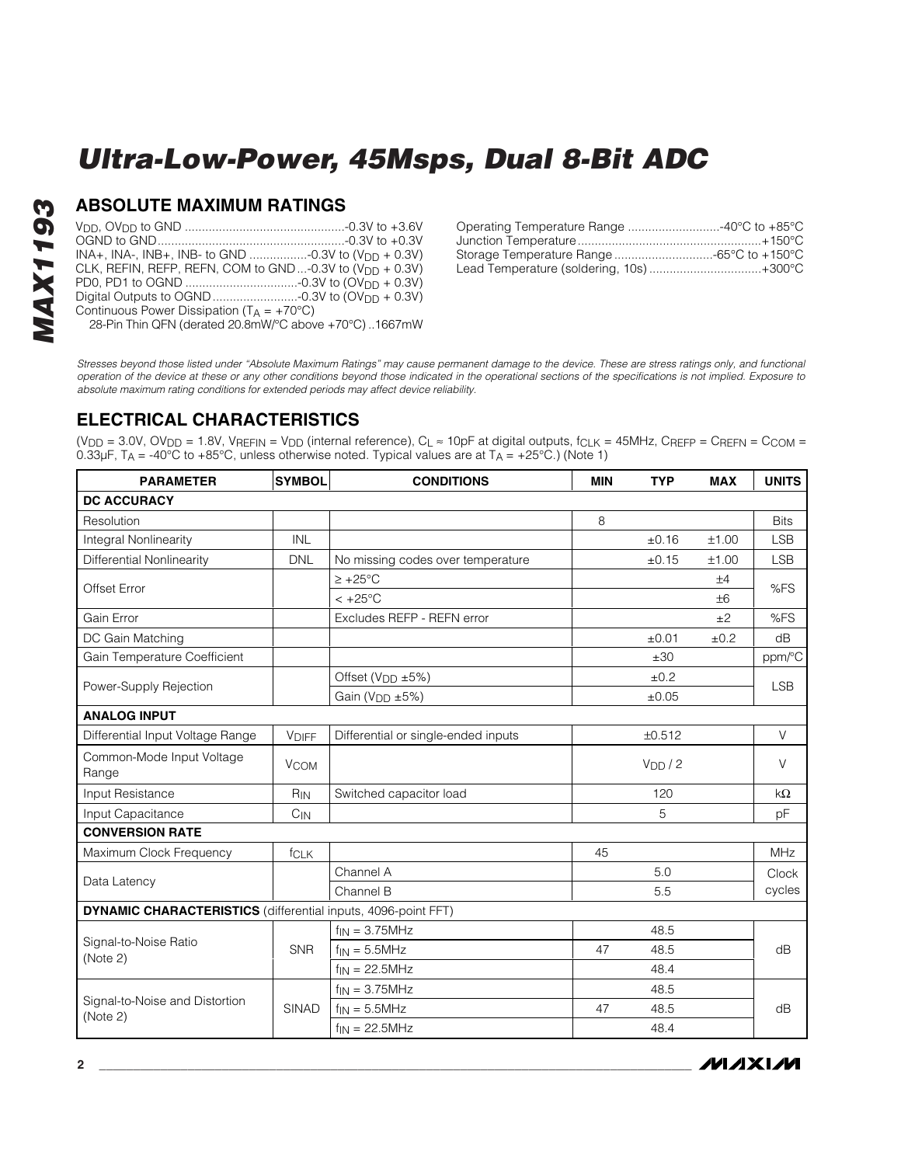# **MAX1193** *MAX1193*

#### **ABSOLUTE MAXIMUM RATINGS**

| INA+, INA-, INB+, INB- to GND -0.3V to (V <sub>DD</sub> + 0.3V)     |  |
|---------------------------------------------------------------------|--|
| CLK, REFIN, REFP, REFN, COM to GND-0.3V to $(V_{\text{DD}} + 0.3V)$ |  |
|                                                                     |  |
|                                                                     |  |
| Continuous Power Dissipation ( $T_A = +70^{\circ}C$ )               |  |
| 28-Pin Thin QFN (derated 20.8mW/°C above +70°C)1667mW               |  |

| Operating Temperature Range 40°C to +85°C |  |
|-------------------------------------------|--|
|                                           |  |
|                                           |  |
| Lead Temperature (soldering, 10s)+300°C   |  |
|                                           |  |

*Stresses beyond those listed under "Absolute Maximum Ratings" may cause permanent damage to the device. These are stress ratings only, and functional operation of the device at these or any other conditions beyond those indicated in the operational sections of the specifications is not implied. Exposure to absolute maximum rating conditions for extended periods may affect device reliability.*

#### **ELECTRICAL CHARACTERISTICS**

(V<sub>DD</sub> = 3.0V, OV<sub>DD</sub> = 1.8V, V<sub>REFIN</sub> = V<sub>DD</sub> (internal reference), C<sub>L</sub>  $\approx$  10pF at digital outputs, f<sub>CLK</sub> = 45MHz, C<sub>REFP</sub> = C<sub>REFN</sub> = C<sub>COM</sub> =  $0.33\mu$ F, T<sub>A</sub> = -40°C to +85°C, unless otherwise noted. Typical values are at T<sub>A</sub> = +25°C.) (Note 1)

| <b>PARAMETER</b>                                                     | <b>SYMBOL</b>   | <b>CONDITIONS</b>                   | <b>MIN</b>          | <b>TYP</b> | <b>MAX</b> | <b>UNITS</b> |
|----------------------------------------------------------------------|-----------------|-------------------------------------|---------------------|------------|------------|--------------|
| <b>DC ACCURACY</b>                                                   |                 |                                     |                     |            |            |              |
| Resolution                                                           |                 |                                     | 8                   |            |            | <b>Bits</b>  |
| Integral Nonlinearity                                                | <b>INL</b>      |                                     |                     | ±0.16      | ±1.00      | <b>LSB</b>   |
| <b>Differential Nonlinearity</b>                                     | <b>DNL</b>      | No missing codes over temperature   |                     | ±0.15      | ±1.00      | <b>LSB</b>   |
| <b>Offset Error</b>                                                  |                 | $\ge +25^{\circ}$ C                 |                     |            | ±4         | %FS          |
|                                                                      |                 | $< +25^{\circ}$ C                   |                     |            | $+6$       |              |
| Gain Error                                                           |                 | Excludes REFP - REFN error          |                     |            | ±2         | %FS          |
| DC Gain Matching                                                     |                 |                                     |                     | ±0.01      | ±0.2       | dB           |
| Gain Temperature Coefficient                                         |                 |                                     |                     | ±30        |            | ppm/°C       |
|                                                                      |                 | Offset (V <sub>DD</sub> ±5%)        |                     | ±0.2       |            |              |
| Power-Supply Rejection                                               |                 | Gain (V <sub>DD</sub> ±5%)          |                     | ±0.05      |            | <b>LSB</b>   |
| <b>ANALOG INPUT</b>                                                  |                 |                                     |                     |            |            |              |
| Differential Input Voltage Range                                     | <b>VDIFF</b>    | Differential or single-ended inputs |                     | ±0.512     |            | $\vee$       |
| Common-Mode Input Voltage<br>Range                                   | <b>VCOM</b>     |                                     | V <sub>DD</sub> / 2 |            |            | V            |
| Input Resistance                                                     | R <sub>IN</sub> | Switched capacitor load             | 120                 |            | $k\Omega$  |              |
| Input Capacitance                                                    | $C_{IN}$        |                                     | 5                   |            | pF         |              |
| <b>CONVERSION RATE</b>                                               |                 |                                     |                     |            |            |              |
| Maximum Clock Frequency                                              | fcLK            |                                     | 45                  |            |            | <b>MHz</b>   |
|                                                                      |                 | Channel A                           |                     | 5.0        |            | Clock        |
| Data Latency                                                         |                 | Channel B                           |                     | 5.5        |            | cycles       |
| <b>DYNAMIC CHARACTERISTICS</b> (differential inputs, 4096-point FFT) |                 |                                     |                     |            |            |              |
|                                                                      |                 | $f_{IN} = 3.75$ MHz                 |                     | 48.5       |            |              |
| Signal-to-Noise Ratio<br>(Note 2)                                    | <b>SNR</b>      | $f_{IN} = 5.5 MHz$                  | 47                  | 48.5       |            | dB           |
|                                                                      |                 | $f_{IN} = 22.5MHz$                  |                     | 48.4       |            |              |
|                                                                      |                 | $f_{IN} = 3.75MHz$                  |                     | 48.5       |            |              |
| Signal-to-Noise and Distortion<br>(Note 2)                           | SINAD           | $f_{IN} = 5.5MHz$                   | 47                  | 48.5       |            | dB           |
|                                                                      |                 | $f_{IN} = 22.5MHz$                  |                     | 48.4       |            |              |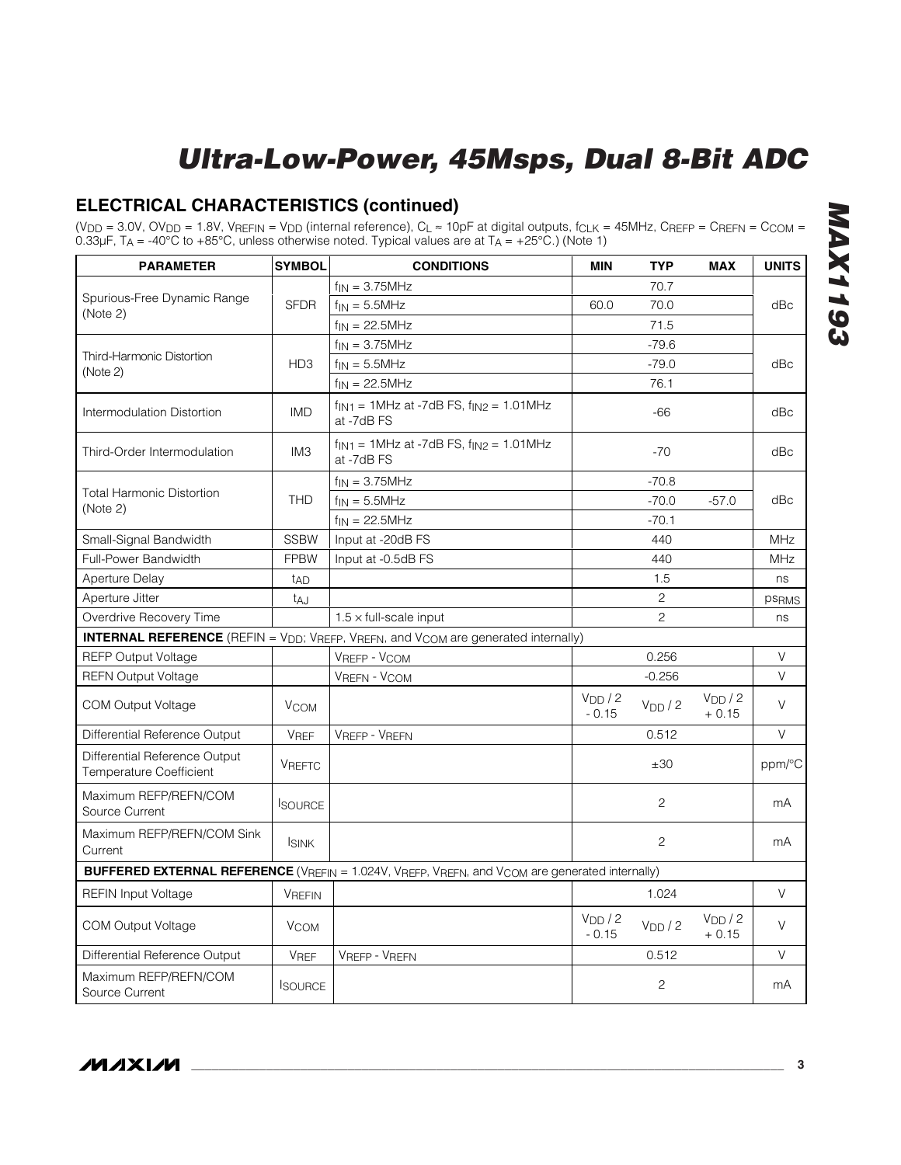#### **ELECTRICAL CHARACTERISTICS (continued)**

(V<sub>DD</sub> = 3.0V, OV<sub>DD</sub> = 1.8V, V<sub>REFIN</sub> = V<sub>DD</sub> (internal reference), C<sub>L</sub> ≈ 10pF at digital outputs, f<sub>CLK</sub> = 45MHz, C<sub>REFP</sub> = C<sub>REFN</sub> = C<sub>COM</sub> = 0.33µF, T $_A$  = -40°C to +85°C, unless otherwise noted. Typical values are at T $_A$  = +25°C.) (Note 1)

| <b>SYMBOL</b><br><b>CONDITIONS</b><br><b>PARAMETER</b>   |                 |                                                                                                                                             | <b>MIN</b>                    | <b>TYP</b>                    | <b>MAX</b>                    | <b>UNITS</b>      |
|----------------------------------------------------------|-----------------|---------------------------------------------------------------------------------------------------------------------------------------------|-------------------------------|-------------------------------|-------------------------------|-------------------|
|                                                          |                 | $f_{IN} = 3.75MHz$                                                                                                                          |                               | 70.7                          |                               |                   |
| Spurious-Free Dynamic Range                              | <b>SFDR</b>     | $f_{IN} = 5.5MHz$                                                                                                                           | 60.0                          | 70.0                          |                               | dBc               |
| (Note 2)                                                 |                 | $f_{IN} = 22.5MHz$                                                                                                                          |                               | 71.5                          |                               |                   |
|                                                          |                 | $f_{IN} = 3.75MHz$                                                                                                                          |                               | $-79.6$                       |                               |                   |
| Third-Harmonic Distortion                                | HD <sub>3</sub> | $f_{IN} = 5.5MHz$                                                                                                                           |                               | $-79.0$                       |                               | dBc               |
| (Note 2)                                                 |                 | $f_{IN} = 22.5MHz$                                                                                                                          |                               | 76.1                          |                               |                   |
| Intermodulation Distortion                               | <b>IMD</b>      | $f_{\text{IN1}}$ = 1MHz at -7dB FS, $f_{\text{IN2}}$ = 1.01MHz<br>at -7dB FS                                                                | $-66$                         |                               |                               |                   |
| Third-Order Intermodulation                              | IM <sub>3</sub> | $f_{\text{IN1}} = 1$ MHz at -7dB FS, $f_{\text{IN2}} = 1.01$ MHz<br>at -7dB FS                                                              | $-70$                         |                               |                               |                   |
|                                                          |                 | $f_{IN} = 3.75MHz$                                                                                                                          |                               | $-70.8$                       |                               |                   |
| <b>Total Harmonic Distortion</b><br>(Note 2)             | <b>THD</b>      | $f_{IN} = 5.5MHz$                                                                                                                           |                               | $-70.0$                       | $-57.0$                       | dBc               |
|                                                          |                 | $f_{IN} = 22.5MHz$                                                                                                                          |                               | $-70.1$                       |                               |                   |
| Small-Signal Bandwidth                                   | <b>SSBW</b>     | Input at -20dB FS                                                                                                                           |                               | 440                           |                               | <b>MHz</b>        |
| Full-Power Bandwidth                                     | <b>FPBW</b>     | Input at -0.5dB FS                                                                                                                          |                               | 440                           |                               | <b>MHz</b>        |
| <b>Aperture Delay</b>                                    | t <sub>AD</sub> |                                                                                                                                             |                               | 1.5                           |                               | ns                |
| Aperture Jitter                                          | t <sub>AJ</sub> |                                                                                                                                             |                               | 2                             |                               | ps <sub>RMS</sub> |
| Overdrive Recovery Time                                  |                 | $1.5 \times$ full-scale input                                                                                                               |                               | 2                             |                               | ns                |
|                                                          |                 | <b>INTERNAL REFERENCE</b> (REFIN = V <sub>DD</sub> ; V <sub>REFP</sub> , V <sub>REFN</sub> , and V <sub>COM</sub> are generated internally) |                               |                               |                               |                   |
| <b>REFP Output Voltage</b>                               |                 | VREFP - VCOM                                                                                                                                |                               | 0.256                         |                               | V                 |
| <b>REFN Output Voltage</b>                               |                 | <b>VREFN - VCOM</b>                                                                                                                         |                               | $-0.256$                      |                               | V                 |
| <b>COM Output Voltage</b>                                | <b>VCOM</b>     |                                                                                                                                             | V <sub>DD</sub> /2<br>$-0.15$ | V <sub>DD</sub> / 2           | V <sub>DD</sub> /2<br>$+0.15$ | $\vee$            |
| Differential Reference Output                            | <b>VREF</b>     | <b>VREFP - VREFN</b>                                                                                                                        |                               | 0.512                         |                               | V                 |
| Differential Reference Output<br>Temperature Coefficient | <b>VREFTC</b>   |                                                                                                                                             |                               | ±30                           |                               | ppm/°C            |
| Maximum REFP/REFN/COM<br>Source Current                  | <b>I</b> SOURCE |                                                                                                                                             |                               | $\overline{c}$                |                               | mA                |
| Maximum REFP/REFN/COM Sink<br>Current                    | <b>ISINK</b>    |                                                                                                                                             |                               | $\overline{c}$                |                               | mA                |
|                                                          |                 | <b>BUFFERED EXTERNAL REFERENCE</b> (VREFIN = 1.024V, VREFP, VREFN, and V <sub>COM</sub> are generated internally)                           |                               |                               |                               |                   |
| <b>REFIN Input Voltage</b>                               | <b>VREFIN</b>   |                                                                                                                                             |                               | 1.024                         |                               | V                 |
| <b>COM Output Voltage</b>                                | <b>VCOM</b>     | V <sub>DD</sub> / 2<br>V <sub>DD</sub> / 2<br>$-0.15$                                                                                       |                               | V <sub>DD</sub> /2<br>$+0.15$ | V                             |                   |
| Differential Reference Output                            | <b>VREF</b>     | <b>VREFP - VREFN</b>                                                                                                                        |                               | 0.512                         |                               | V                 |
| Maximum REFP/REFN/COM<br>Source Current                  | <b>ISOURCE</b>  |                                                                                                                                             |                               | $\overline{c}$                |                               | mA                |

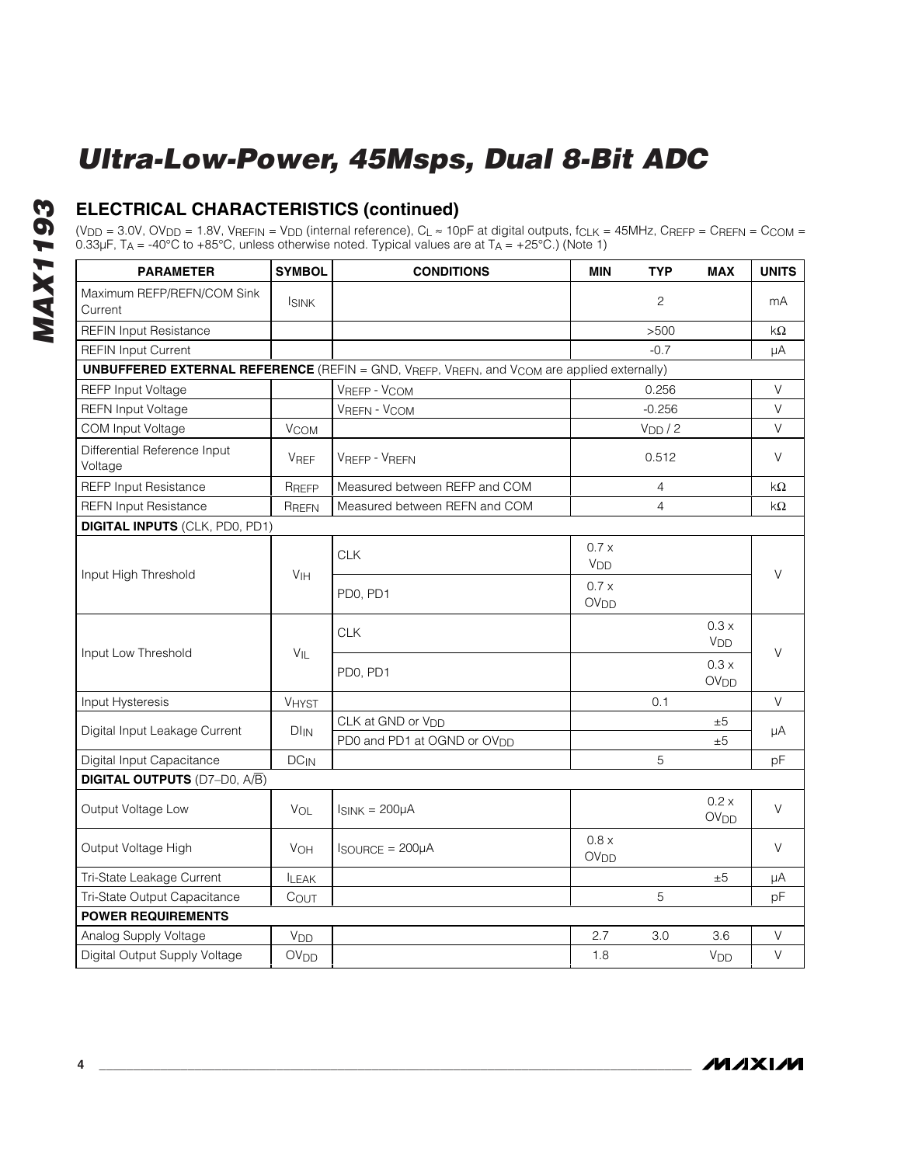#### **ELECTRICAL CHARACTERISTICS (continued)**

(V<sub>DD</sub> = 3.0V, OV<sub>DD</sub> = 1.8V, V<sub>REFIN</sub> = V<sub>DD</sub> (internal reference), C<sub>L</sub> ≈ 10pF at digital outputs, f<sub>CLK</sub> = 45MHz, C<sub>REFP</sub> = C<sub>REFN</sub> = C<sub>COM</sub> = 0.33µF, T $_A$  = -40°C to +85°C, unless otherwise noted. Typical values are at T $_A$  = +25°C.) (Note 1)

| <b>PARAMETER</b>                        | <b>SYMBOL</b>          | <b>CONDITIONS</b>                                                                                             | <b>MIN</b>                | <b>TYP</b>          | <b>MAX</b>                | <b>UNITS</b> |
|-----------------------------------------|------------------------|---------------------------------------------------------------------------------------------------------------|---------------------------|---------------------|---------------------------|--------------|
| Maximum REFP/REFN/COM Sink<br>Current   | <b>ISINK</b>           |                                                                                                               |                           | 2                   |                           | mA           |
| <b>REFIN Input Resistance</b>           |                        |                                                                                                               |                           | >500                |                           | $k\Omega$    |
| <b>REFIN Input Current</b>              |                        |                                                                                                               |                           | $-0.7$              |                           | μA           |
|                                         |                        | <b>UNBUFFERED EXTERNAL REFERENCE</b> (REFIN = GND, VREFP, VREFN, and V <sub>COM</sub> are applied externally) |                           |                     |                           |              |
| <b>REFP Input Voltage</b>               |                        | VREFP - VCOM                                                                                                  |                           | 0.256               |                           | $\vee$       |
| <b>REFN Input Voltage</b>               |                        | VREFN - VCOM                                                                                                  |                           | $-0.256$            |                           | $\vee$       |
| COM Input Voltage                       | <b>V<sub>COM</sub></b> |                                                                                                               |                           | V <sub>DD</sub> / 2 |                           | $\vee$       |
| Differential Reference Input<br>Voltage | <b>VREF</b>            | <b>VREFP - VREFN</b>                                                                                          |                           | 0.512               |                           | V            |
| <b>REFP Input Resistance</b>            | RREFP                  | Measured between REFP and COM                                                                                 |                           | 4                   |                           | kΩ           |
| <b>REFN Input Resistance</b>            | RREFN                  | Measured between REFN and COM                                                                                 |                           | $\overline{4}$      |                           | kΩ           |
| <b>DIGITAL INPUTS (CLK, PDO, PD1)</b>   |                        |                                                                                                               |                           |                     |                           |              |
| Input High Threshold                    |                        | <b>CLK</b>                                                                                                    | 0.7x<br>V <sub>DD</sub>   |                     |                           | $\vee$       |
|                                         | V <sub>IH</sub>        | PD0, PD1                                                                                                      | 0.7 x<br>OV <sub>DD</sub> |                     |                           |              |
|                                         | $V_{IL}$               | <b>CLK</b>                                                                                                    |                           |                     | 0.3 x<br>V <sub>DD</sub>  | $\vee$       |
| Input Low Threshold                     |                        | PD0, PD1                                                                                                      |                           |                     | 0.3 x<br>OV <sub>DD</sub> |              |
| Input Hysteresis                        | <b>VHYST</b>           |                                                                                                               |                           | 0.1                 |                           | V            |
| Digital Input Leakage Current           |                        | CLK at GND or V <sub>DD</sub>                                                                                 |                           |                     | ±5                        |              |
|                                         | $DI_{IN}$              | PD0 and PD1 at OGND or OV <sub>DD</sub>                                                                       |                           |                     | ±5                        | μA           |
| Digital Input Capacitance               | $DC_{IN}$              |                                                                                                               |                           | 5                   |                           | pF           |
| <b>DIGITAL OUTPUTS</b> (D7-D0, A/B)     |                        |                                                                                                               |                           |                     |                           |              |
| Output Voltage Low                      | VOL                    | $I_{SINK} = 200 \mu A$                                                                                        |                           |                     | 0.2 x<br>OV <sub>DD</sub> | $\vee$       |
| Output Voltage High                     | VOH                    | $I$ SOURCE = $200\mu$ A                                                                                       | 0.8 x<br>OV <sub>DD</sub> |                     |                           | $\vee$       |
| Tri-State Leakage Current               | <b>ILEAK</b>           |                                                                                                               |                           |                     | ±5                        | μA           |
| Tri-State Output Capacitance            | COUT                   |                                                                                                               |                           | 5                   |                           | pF           |
| <b>POWER REQUIREMENTS</b>               |                        |                                                                                                               |                           |                     |                           |              |
| Analog Supply Voltage                   | V <sub>DD</sub>        |                                                                                                               | 2.7                       | 3.0                 | 3.6                       | V            |
| Digital Output Supply Voltage           | OV <sub>DD</sub>       |                                                                                                               | 1.8                       |                     | V <sub>DD</sub>           | $\vee$       |

**MAXIM**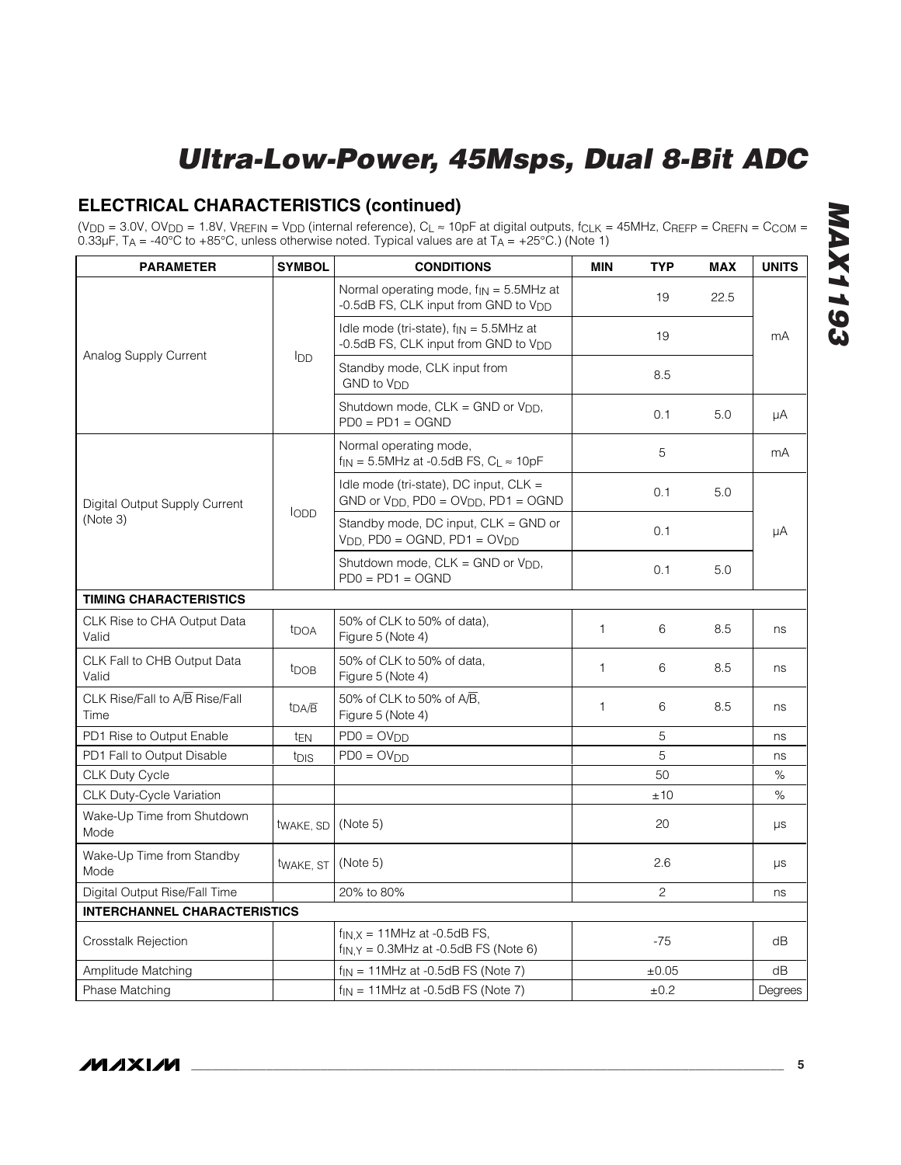#### **ELECTRICAL CHARACTERISTICS (continued)**

(V<sub>DD</sub> = 3.0V, OV<sub>DD</sub> = 1.8V, V<sub>REFIN</sub> = V<sub>DD</sub> (internal reference), C<sub>L</sub> ≈ 10pF at digital outputs, f<sub>CLK</sub> = 45MHz, C<sub>REFP</sub> = C<sub>REFN</sub> = C<sub>COM</sub> = 0.33µF, T $_A$  = -40°C to +85°C, unless otherwise noted. Typical values are at T $_A$  = +25°C.) (Note 1)

| <b>PARAMETER</b>                       | <b>SYMBOL</b><br><b>CONDITIONS</b> |                                                                                                  |              |       |      | <b>UNITS</b> |
|----------------------------------------|------------------------------------|--------------------------------------------------------------------------------------------------|--------------|-------|------|--------------|
|                                        |                                    | Normal operating mode, $f_{IN} = 5.5$ MHz at<br>-0.5dB FS, CLK input from GND to V <sub>DD</sub> |              | 19    | 22.5 |              |
|                                        |                                    | Idle mode (tri-state), $f_{IN} = 5.5$ MHz at<br>-0.5dB FS, CLK input from GND to V <sub>DD</sub> |              | 19    |      | mA           |
| Analog Supply Current                  | <b>I</b> DD                        | Standby mode, CLK input from<br>GND to Vnn                                                       |              | 8.5   |      |              |
|                                        |                                    | Shutdown mode, CLK = GND or V <sub>DD</sub> ,<br>$PDO = PD1 = OGND$                              |              | 0.1   | 5.0  | μA           |
|                                        |                                    | Normal operating mode,<br>$f_{IN}$ = 5.5MHz at -0.5dB FS, $C_L \approx 10pF$                     |              | 5     |      | mA           |
| Digital Output Supply Current          |                                    | Idle mode (tri-state), DC input, CLK =<br>$GND$ or $VDD$ . $PDO = OVDD$ , $PD1 = OGND$           |              | 0.1   | 5.0  |              |
| (Note 3)                               | lopp                               | Standby mode, DC input, CLK = GND or<br>$VDD$ , PD0 = OGND, PD1 = OV <sub>DD</sub>               |              | 0.1   |      | μA           |
|                                        |                                    | Shutdown mode, $CLK = GND$ or $VDD$ ,<br>$PDO = PD1 = OGND$                                      |              | 0.1   | 5.0  |              |
| <b>TIMING CHARACTERISTICS</b>          |                                    |                                                                                                  |              |       |      |              |
| CLK Rise to CHA Output Data<br>Valid   | <b>t</b> DOA                       | 50% of CLK to 50% of data).<br>Figure 5 (Note 4)                                                 | $\mathbf{1}$ | 6     | 8.5  | ns           |
| CLK Fall to CHB Output Data<br>Valid   | t <sub>DOB</sub>                   | 50% of CLK to 50% of data,<br>Figure 5 (Note 4)                                                  | 1            | 6     | 8.5  | ns           |
| CLK Rise/Fall to A/B Rise/Fall<br>Time | tDA/B                              | 50% of CLK to 50% of A/B,<br>Figure 5 (Note 4)                                                   | 1            | 6     | 8.5  | ns           |
| PD1 Rise to Output Enable              | t <sub>EN</sub>                    | $PDO = OVDD$                                                                                     |              | 5     |      | ns           |
| PD1 Fall to Output Disable             | t <sub>DIS</sub>                   | $PDO = OVDD$                                                                                     |              | 5     |      | ns           |
| <b>CLK Duty Cycle</b>                  |                                    |                                                                                                  |              | 50    |      | %            |
| CLK Duty-Cycle Variation               |                                    |                                                                                                  |              | ±10   |      | $\%$         |
| Wake-Up Time from Shutdown<br>Mode     | twake, SD                          | (Note 5)                                                                                         |              | 20    |      | μs           |
| Wake-Up Time from Standby<br>Mode      | twake, ST                          | (Note 5)                                                                                         |              | 2.6   |      | μs           |
| Digital Output Rise/Fall Time          |                                    | 20% to 80%                                                                                       |              | 2     |      | ns           |
| <b>INTERCHANNEL CHARACTERISTICS</b>    |                                    |                                                                                                  |              |       |      |              |
| <b>Crosstalk Rejection</b>             |                                    | $f_{IN,X}$ = 11MHz at -0.5dB FS,<br>$f_{IN,Y} = 0.3$ MHz at -0.5dB FS (Note 6)                   |              | $-75$ |      | dB           |
| Amplitude Matching                     |                                    | $f_{IN}$ = 11MHz at -0.5dB FS (Note 7)                                                           |              | ±0.05 |      | dB           |
| Phase Matching                         |                                    | $f_{IN}$ = 11MHz at -0.5dB FS (Note 7)                                                           |              | ±0.2  |      | Degrees      |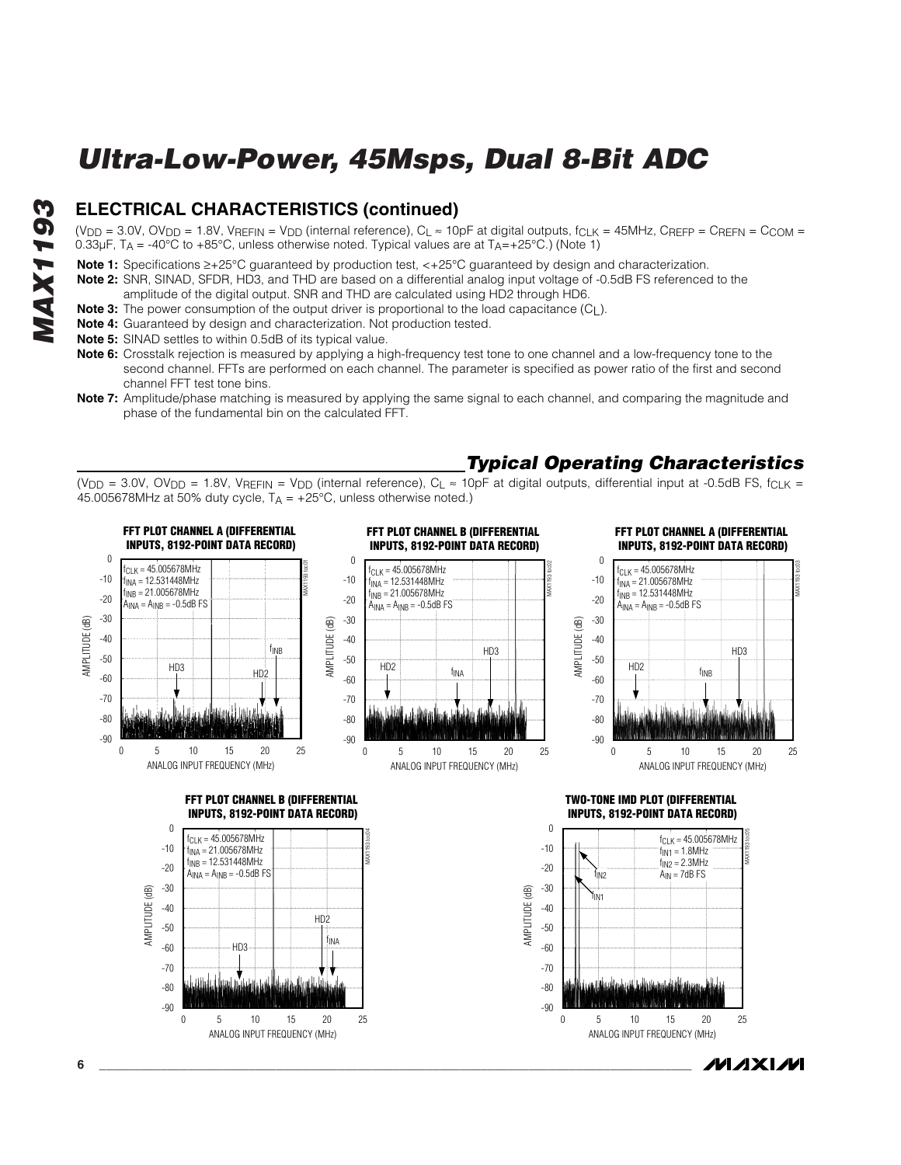#### **ELECTRICAL CHARACTERISTICS (continued)**

(V<sub>DD</sub> = 3.0V, OV<sub>DD</sub> = 1.8V, V<sub>REFIN</sub> = V<sub>DD</sub> (internal reference), C<sub>L</sub>  $\approx$  10pF at digital outputs, f<sub>CLK</sub> = 45MHz, C<sub>REFP</sub> = C<sub>REFN</sub> = C<sub>COM</sub> = 0.33µF,  $T_A = -40^{\circ}$ C to  $+85^{\circ}$ C, unless otherwise noted. Typical values are at  $T_A = +25^{\circ}$ C.) (Note 1)

- **Note 1:** Specifications ≥+25°C guaranteed by production test, <+25°C guaranteed by design and characterization.
- **Note 2:** SNR, SINAD, SFDR, HD3, and THD are based on a differential analog input voltage of -0.5dB FS referenced to the amplitude of the digital output. SNR and THD are calculated using HD2 through HD6.
- **Note 3:** The power consumption of the output driver is proportional to the load capacitance (C<sub>L</sub>).
- **Note 4:** Guaranteed by design and characterization. Not production tested.
- **Note 5:** SINAD settles to within 0.5dB of its typical value.
- **Note 6:** Crosstalk rejection is measured by applying a high-frequency test tone to one channel and a low-frequency tone to the second channel. FFTs are performed on each channel. The parameter is specified as power ratio of the first and second channel FFT test tone bins.
- **Note 7:** Amplitude/phase matching is measured by applying the same signal to each channel, and comparing the magnitude and phase of the fundamental bin on the calculated FFT.

#### *Typical Operating Characteristics*

(V<sub>DD</sub> = 3.0V, OV<sub>DD</sub> = 1.8V, V<sub>REFIN</sub> = V<sub>DD</sub> (internal reference), C<sub>L</sub>  $\approx$  10pF at digital outputs, differential input at -0.5dB FS, f<sub>CLK</sub> = 45.005678MHz at 50% duty cycle,  $T_A = +25^{\circ}C$ , unless otherwise noted.)



*IVI A* XI*IV*I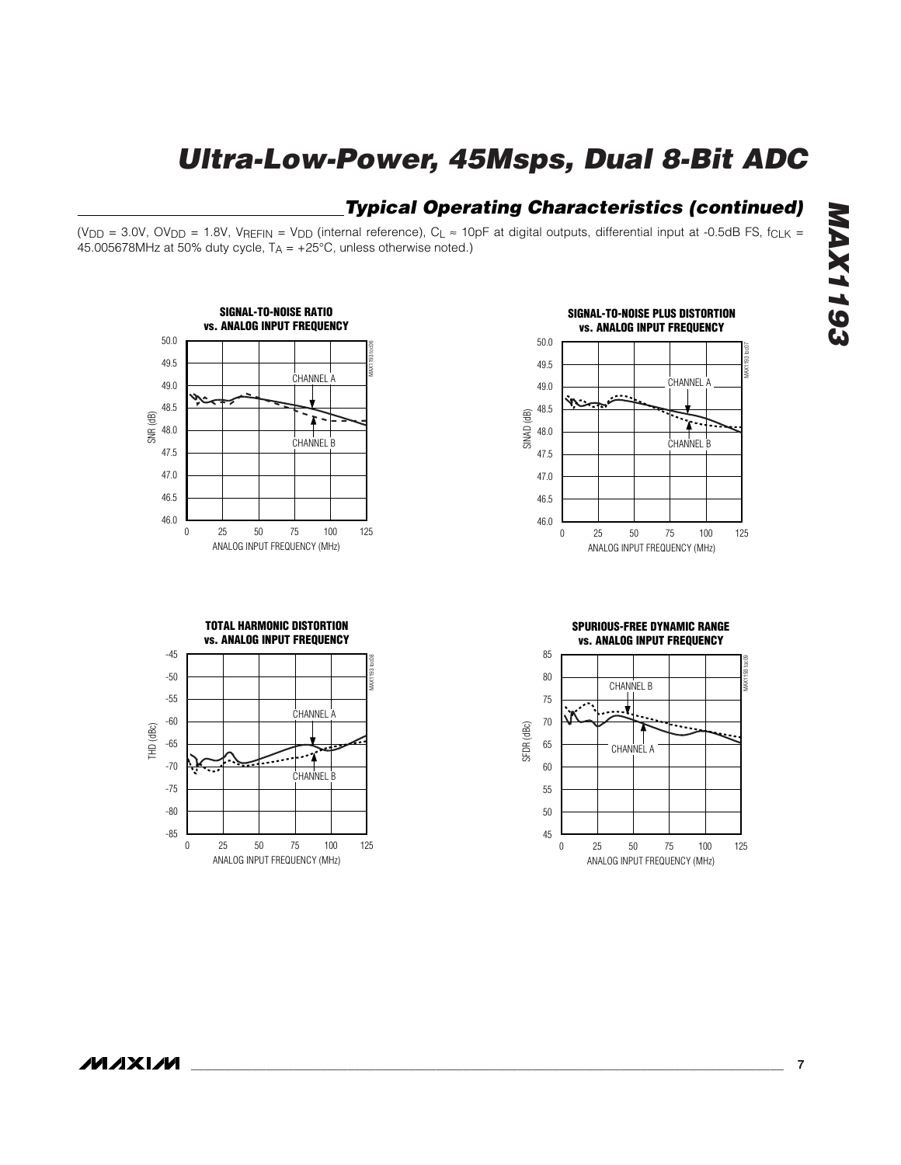#### *Typical Operating Characteristics (continued)*

(V<sub>DD</sub> = 3.0V, OV<sub>DD</sub> = 1.8V, V<sub>REFIN</sub> = V<sub>DD</sub> (internal reference), C<sub>L</sub>  $\approx$  10pF at digital outputs, differential input at -0.5dB FS, f<sub>CLK</sub> = 45.005678MHz at 50% duty cycle,  $T_A = +25^{\circ}C$ , unless otherwise noted.)



**SIGNAL-TO-NOISE PLUS DISTORTION vs. ANALOG INPUT FREQUENCY** 50.0 MAX1193 toc07 49.5 .<br>CHANNEL A 49.0 48.5 SINAD (dB) ≱ 48.0 **CHANNEL B** 47.5 47.0 46.5 46.0 0 25 50 75 100 125 25 50 75 100 ANALOG INPUT FREQUENCY (MHz)

**TOTAL HARMONIC DISTORTION vs. ANALOG INPUT FREQUENCY**

-45



**SPURIOUS-FREE DYNAMIC RANGE vs. ANALOG INPUT FREQUENCY**



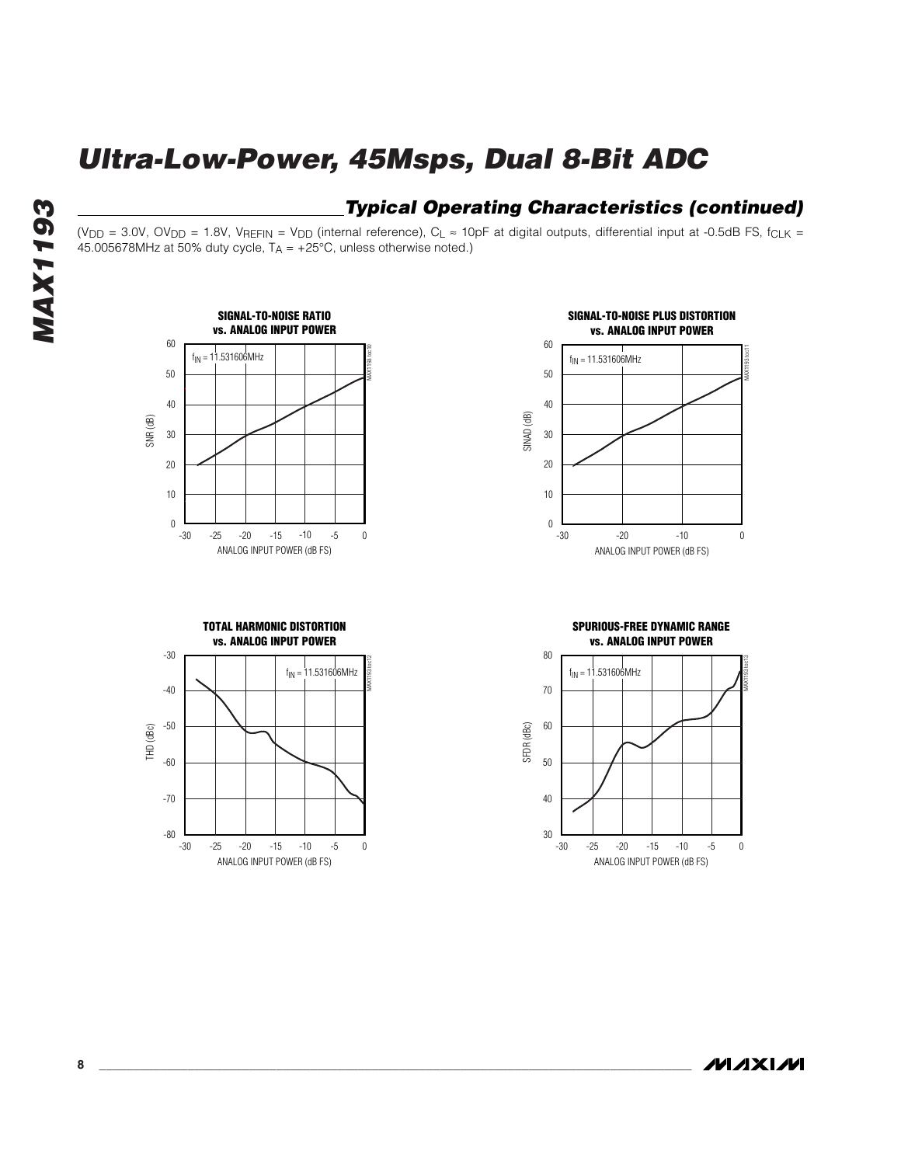#### *Typical Operating Characteristics (continued)*

(V<sub>DD</sub> = 3.0V, OV<sub>DD</sub> = 1.8V, V<sub>REFIN</sub> = V<sub>DD</sub> (internal reference), C<sub>L</sub>  $\approx$  10pF at digital outputs, differential input at -0.5dB FS, f<sub>CLK</sub> = 45.005678MHz at 50% duty cycle,  $T_A = +25^{\circ}C$ , unless otherwise noted.)







**SPURIOUS-FREE DYNAMIC RANGE vs. ANALOG INPUT POWER**



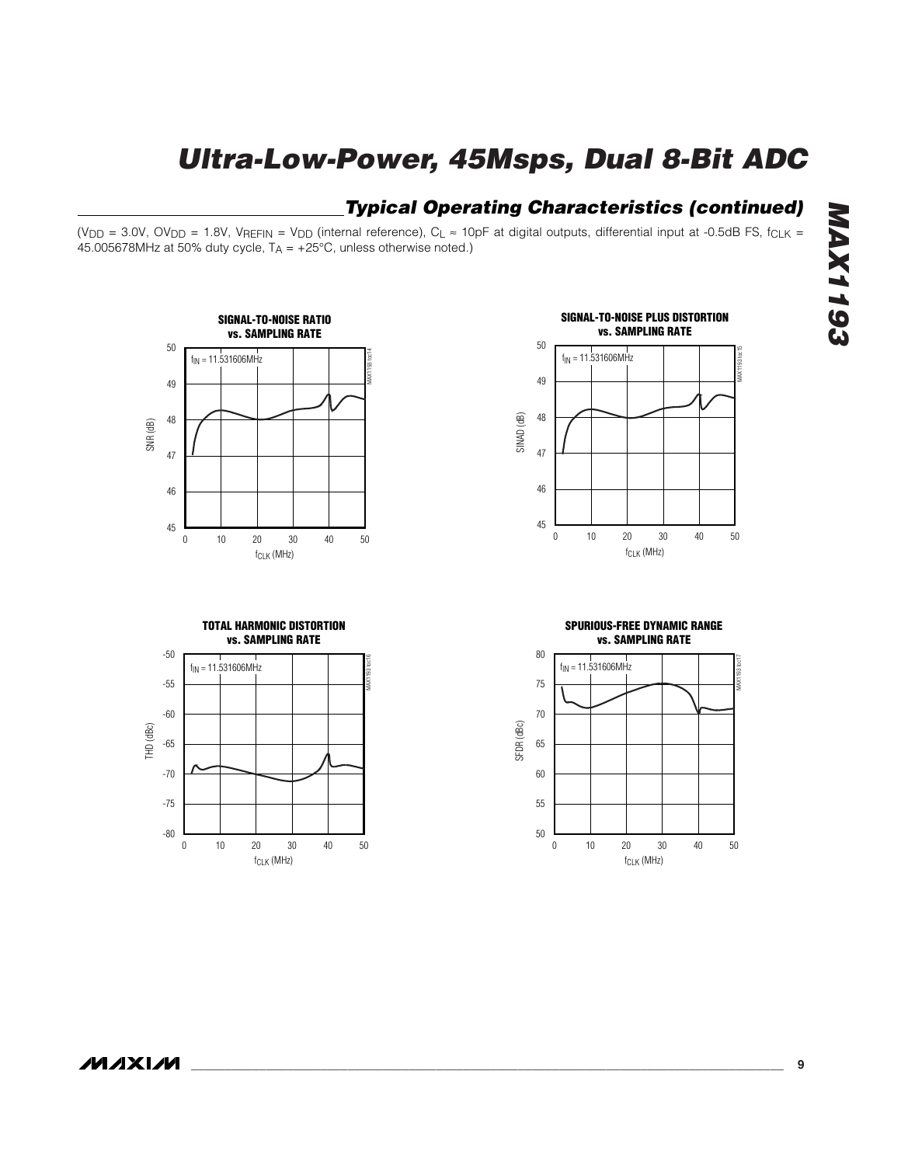#### *Typical Operating Characteristics (continued)*

(V<sub>DD</sub> = 3.0V, OV<sub>DD</sub> = 1.8V, V<sub>REFIN</sub> = V<sub>DD</sub> (internal reference), C<sub>L</sub>  $\approx$  10pF at digital outputs, differential input at -0.5dB FS, f<sub>CLK</sub> = 45.005678MHz at 50% duty cycle,  $T_A = +25^{\circ}C$ , unless otherwise noted.)



**TOTAL HARMONIC DISTORTION vs. SAMPLING RATE**





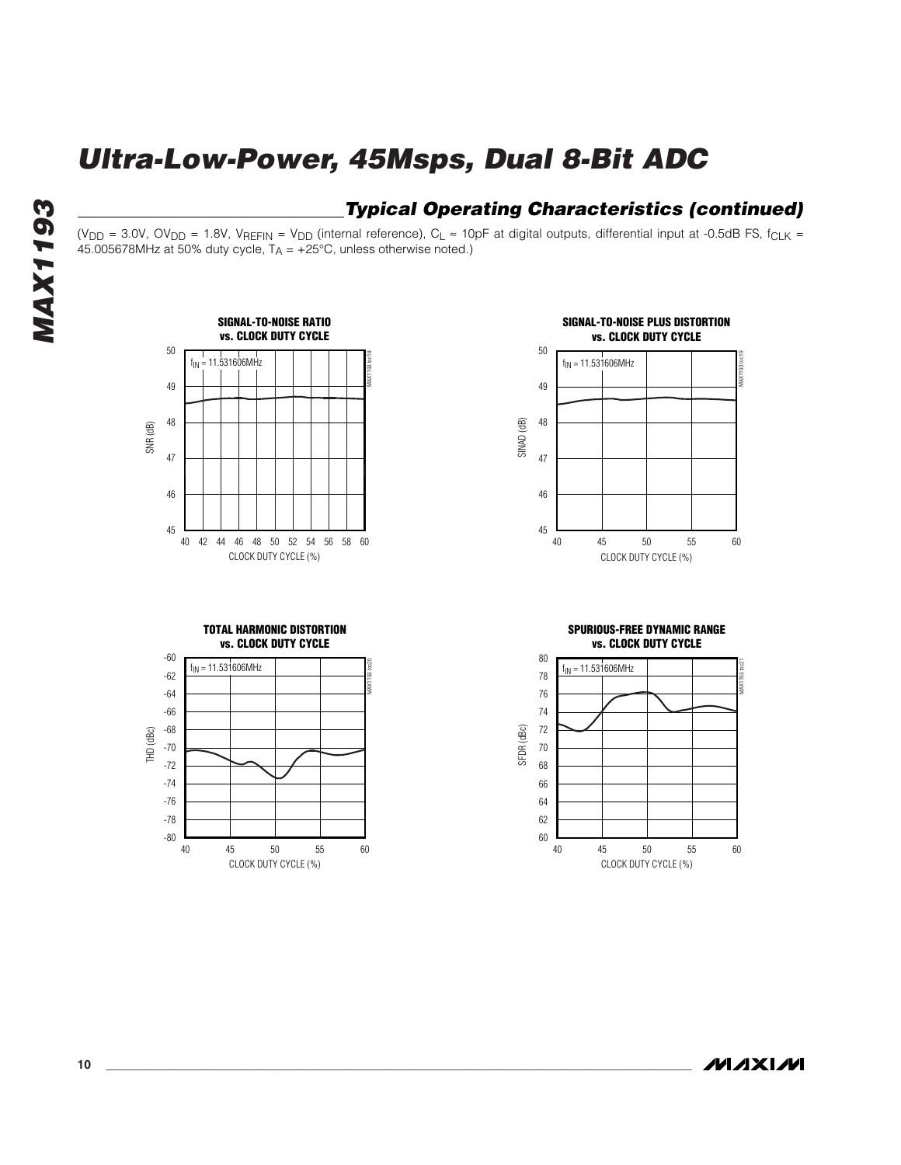#### *Typical Operating Characteristics (continued)*

(V<sub>DD</sub> = 3.0V, OV<sub>DD</sub> = 1.8V, V<sub>REFIN</sub> = V<sub>DD</sub> (internal reference), C<sub>L</sub> ≈ 10pF at digital outputs, differential input at -0.5dB FS, f<sub>CLK</sub> = 45.005678MHz at 50% duty cycle,  $T_A = +25^{\circ}C$ , unless otherwise noted.)





**TOTAL HARMONIC DISTORTION vs. CLOCK DUTY CYCLE**





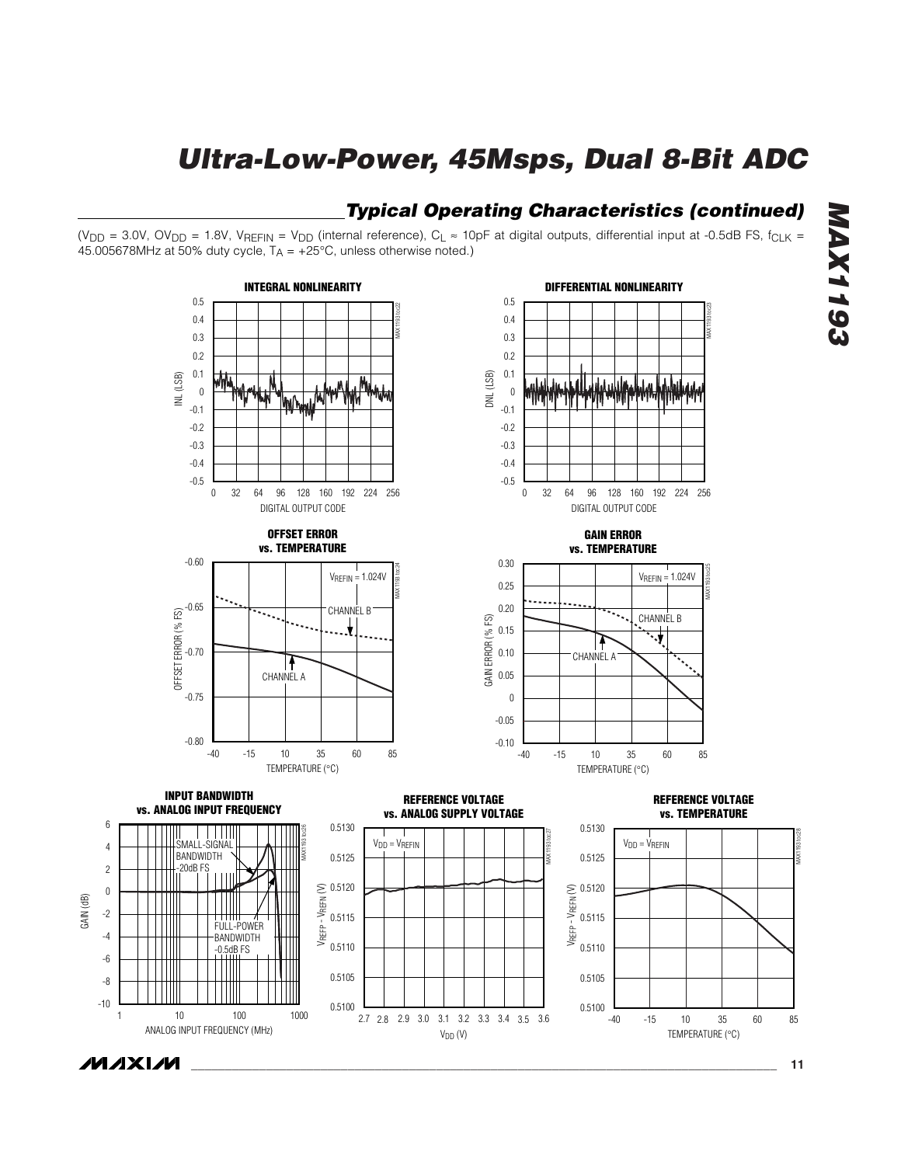#### *Typical Operating Characteristics (continued)*

(V<sub>DD</sub> = 3.0V, OV<sub>DD</sub> = 1.8V, V<sub>REFIN</sub> = V<sub>DD</sub> (internal reference), C<sub>L</sub> ≈ 10pF at digital outputs, differential input at -0.5dB FS, f<sub>CLK</sub> = 45.005678MHz at 50% duty cycle,  $T_A = +25^{\circ}C$ , unless otherwise noted.)



**MAXIM** 

GAIN (dB)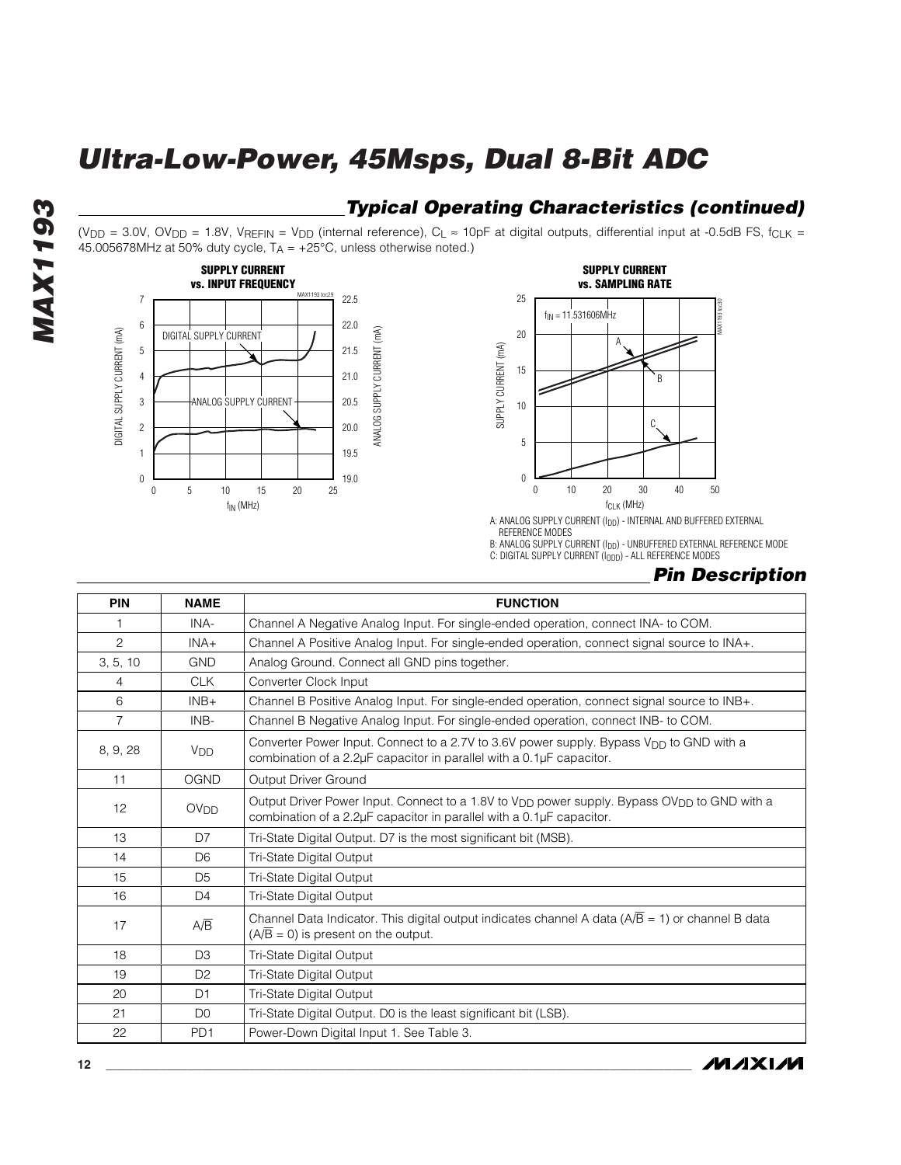#### *Typical Operating Characteristics (continued)*

(V<sub>DD</sub> = 3.0V, OV<sub>DD</sub> = 1.8V, V<sub>REFIN</sub> = V<sub>DD</sub> (internal reference), C<sub>L</sub>  $\approx$  10pF at digital outputs, differential input at -0.5dB FS, f<sub>CLK</sub> = 45.005678MHz at 50% duty cycle,  $T_A = +25^{\circ}$ C, unless otherwise noted.)





A: ANALOG SUPPLY CURRENT (IDD) - INTERNAL AND BUFFERED EXTERNAL REFERENCE MODES

B: ANALOG SUPPLY CURRENT (I<sub>DD</sub>) - UNBUFFERED EXTERNAL REFERENCE MODE C: DIGITAL SUPPLY CURRENT (I<sub>ODD</sub>) - ALL REFERENCE MODES

#### *Pin Description*

| <b>PIN</b>     | <b>NAME</b>            | <b>FUNCTION</b>                                                                                                                                                                             |  |  |  |  |  |
|----------------|------------------------|---------------------------------------------------------------------------------------------------------------------------------------------------------------------------------------------|--|--|--|--|--|
| 1              | INA-                   | Channel A Negative Analog Input. For single-ended operation, connect INA- to COM.                                                                                                           |  |  |  |  |  |
| $\overline{c}$ | $INA+$                 | Channel A Positive Analog Input. For single-ended operation, connect signal source to INA+.                                                                                                 |  |  |  |  |  |
| 3, 5, 10       | <b>GND</b>             | Analog Ground. Connect all GND pins together.                                                                                                                                               |  |  |  |  |  |
| 4              | <b>CLK</b>             | Converter Clock Input                                                                                                                                                                       |  |  |  |  |  |
| 6              | $INB+$                 | Channel B Positive Analog Input. For single-ended operation, connect signal source to INB+.                                                                                                 |  |  |  |  |  |
| $\overline{7}$ | INB-                   | Channel B Negative Analog Input. For single-ended operation, connect INB- to COM.                                                                                                           |  |  |  |  |  |
| 8, 9, 28       | <b>V<sub>DD</sub></b>  | Converter Power Input. Connect to a 2.7V to 3.6V power supply. Bypass V <sub>DD</sub> to GND with a<br>combination of a 2.2µF capacitor in parallel with a 0.1µF capacitor.                 |  |  |  |  |  |
| 11             | <b>OGND</b>            | Output Driver Ground                                                                                                                                                                        |  |  |  |  |  |
| 12             | <b>OV<sub>DD</sub></b> | Output Driver Power Input. Connect to a 1.8V to V <sub>DD</sub> power supply. Bypass OV <sub>DD</sub> to GND with a<br>combination of a 2.2µF capacitor in parallel with a 0.1µF capacitor. |  |  |  |  |  |
| 13             | D7                     | Tri-State Digital Output. D7 is the most significant bit (MSB).                                                                                                                             |  |  |  |  |  |
| 14             | D <sub>6</sub>         | Tri-State Digital Output                                                                                                                                                                    |  |  |  |  |  |
| 15             | D <sub>5</sub>         | Tri-State Digital Output                                                                                                                                                                    |  |  |  |  |  |
| 16             | D <sub>4</sub>         | Tri-State Digital Output                                                                                                                                                                    |  |  |  |  |  |
| 17             | $A/\overline{B}$       | Channel Data Indicator. This digital output indicates channel A data $(A/B = 1)$ or channel B data<br>$(A/B = 0)$ is present on the output.                                                 |  |  |  |  |  |
| 18             | D <sub>3</sub>         | Tri-State Digital Output                                                                                                                                                                    |  |  |  |  |  |
| 19             | D <sub>2</sub>         | Tri-State Digital Output                                                                                                                                                                    |  |  |  |  |  |
| 20             | D1                     | Tri-State Digital Output                                                                                                                                                                    |  |  |  |  |  |
| 21             | D <sub>0</sub>         | Tri-State Digital Output. D0 is the least significant bit (LSB).                                                                                                                            |  |  |  |  |  |
| 22             | PD <sub>1</sub>        | Power-Down Digital Input 1. See Table 3.                                                                                                                                                    |  |  |  |  |  |

## **MAX1193** *MAX1193*

**MAXIM**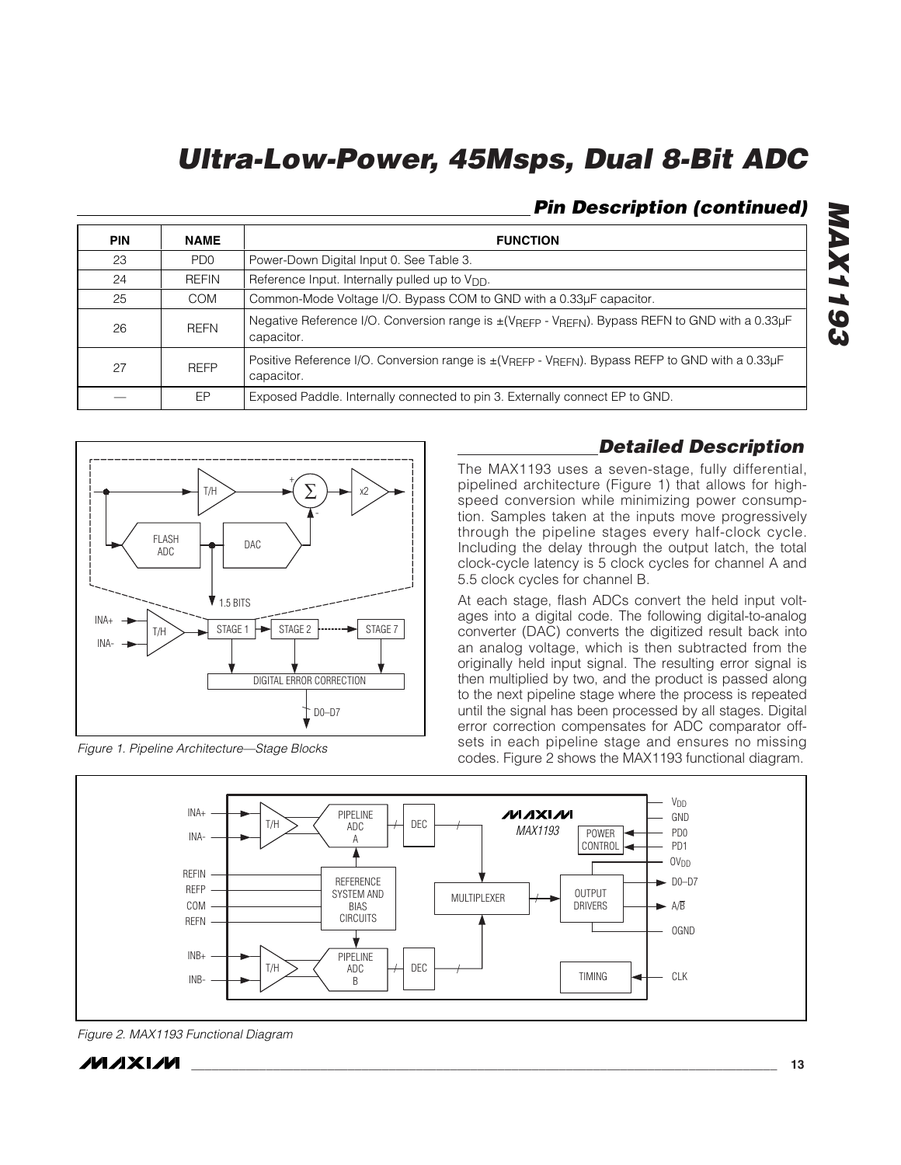#### *Pin Description (continued)*

| <b>PIN</b> | <b>NAME</b>     | <b>FUNCTION</b>                                                                                                                            |
|------------|-----------------|--------------------------------------------------------------------------------------------------------------------------------------------|
| 23         | PD <sub>0</sub> | Power-Down Digital Input 0. See Table 3.                                                                                                   |
| 24         | <b>REFIN</b>    | Reference Input. Internally pulled up to V <sub>DD</sub> .                                                                                 |
| 25         | <b>COM</b>      | Common-Mode Voltage I/O. Bypass COM to GND with a 0.33µF capacitor.                                                                        |
| 26         | <b>REFN</b>     | Negative Reference I/O. Conversion range is ±(VREFP - VREFN). Bypass REFN to GND with a 0.33µF<br>capacitor.                               |
| 27         | <b>RFFP</b>     | Positive Reference I/O. Conversion range is $\pm$ (V <sub>REFP</sub> - V <sub>REFN</sub> ). Bypass REFP to GND with a 0.33µF<br>capacitor. |
|            | EP              | Exposed Paddle. Internally connected to pin 3. Externally connect EP to GND.                                                               |



*Figure 1. Pipeline Architecture—Stage Blocks*

#### *Detailed Description*

*MAX1193*

**MAX1193** 

The MAX1193 uses a seven-stage, fully differential, pipelined architecture (Figure 1) that allows for highspeed conversion while minimizing power consumption. Samples taken at the inputs move progressively through the pipeline stages every half-clock cycle. Including the delay through the output latch, the total clock-cycle latency is 5 clock cycles for channel A and 5.5 clock cycles for channel B.

At each stage, flash ADCs convert the held input voltages into a digital code. The following digital-to-analog converter (DAC) converts the digitized result back into an analog voltage, which is then subtracted from the originally held input signal. The resulting error signal is then multiplied by two, and the product is passed along to the next pipeline stage where the process is repeated until the signal has been processed by all stages. Digital error correction compensates for ADC comparator offsets in each pipeline stage and ensures no missing codes. Figure 2 shows the MAX1193 functional diagram.



*Figure 2. MAX1193 Functional Diagram*

**MAXM**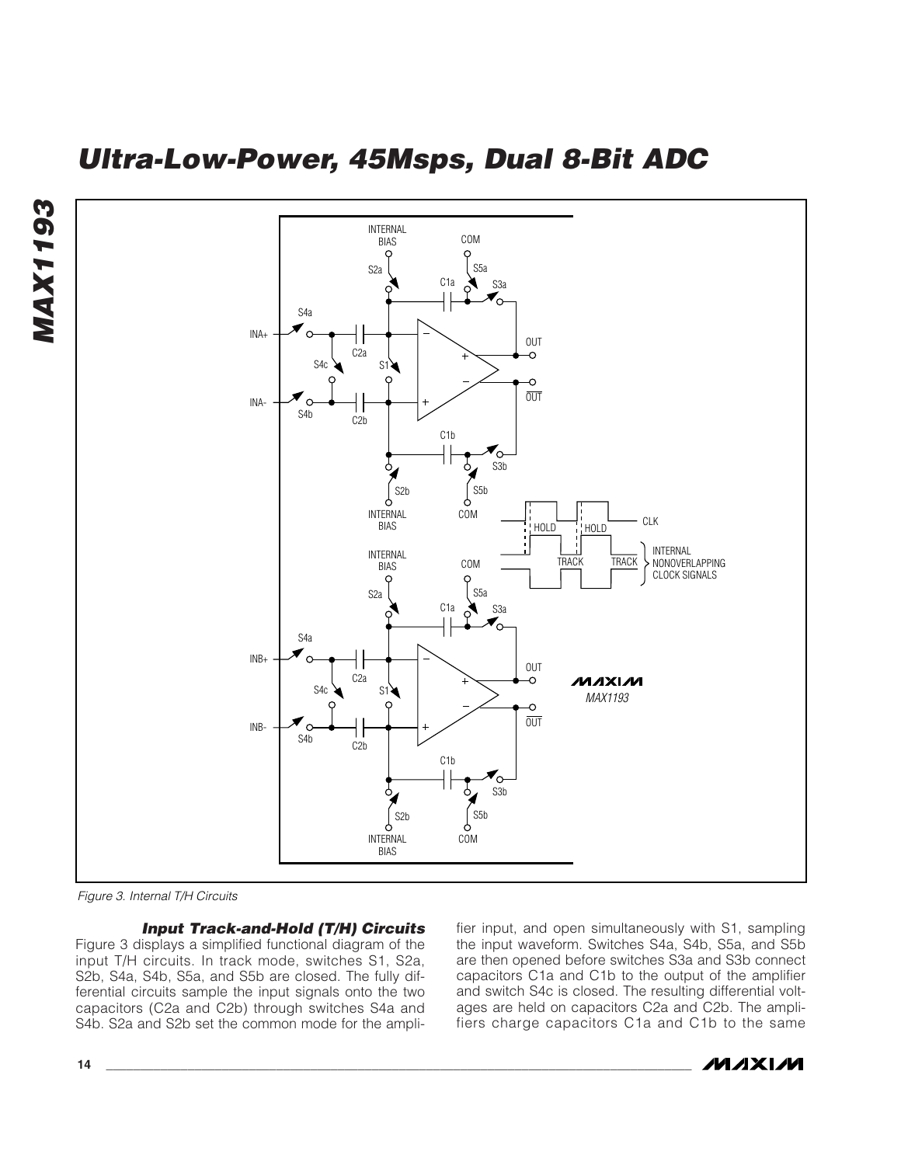



*Figure 3. Internal T/H Circuits*

*Input Track-and-Hold (T/H) Circuits* Figure 3 displays a simplified functional diagram of the input T/H circuits. In track mode, switches S1, S2a, S2b, S4a, S4b, S5a, and S5b are closed. The fully differential circuits sample the input signals onto the two capacitors (C2a and C2b) through switches S4a and S4b. S2a and S2b set the common mode for the amplifier input, and open simultaneously with S1, sampling the input waveform. Switches S4a, S4b, S5a, and S5b are then opened before switches S3a and S3b connect capacitors C1a and C1b to the output of the amplifier and switch S4c is closed. The resulting differential voltages are held on capacitors C2a and C2b. The amplifiers charge capacitors C1a and C1b to the same

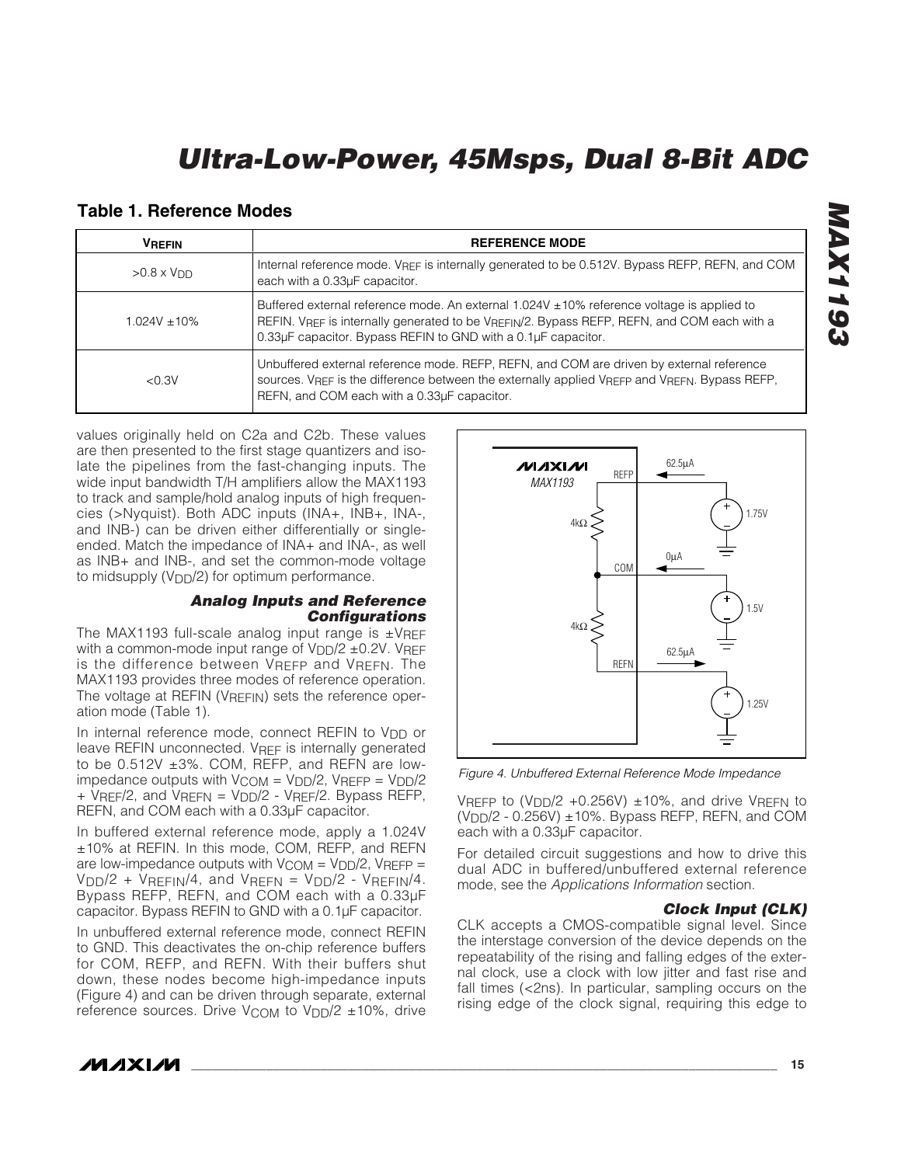#### **Table 1. Reference Modes**

| <b>VREFIN</b>     | <b>REFERENCE MODE</b>                                                                                                                                                                                                                                                        |
|-------------------|------------------------------------------------------------------------------------------------------------------------------------------------------------------------------------------------------------------------------------------------------------------------------|
| $>0.8 \times VDD$ | Internal reference mode. VREF is internally generated to be 0.512V. Bypass REFP, REFN, and COM<br>each with a 0.33µF capacitor.                                                                                                                                              |
| $1.024V + 10%$    | Buffered external reference mode. An external $1.024V \pm 10\%$ reference voltage is applied to<br>REFIN. VREF is internally generated to be VREFIN/2. Bypass REFP, REFN, and COM each with a<br>0.33µF capacitor. Bypass REFIN to GND with a 0.1µF capacitor.               |
| < 0.3V            | Unbuffered external reference mode. REFP, REFN, and COM are driven by external reference<br>sources. V <sub>REF</sub> is the difference between the externally applied V <sub>REFP</sub> and V <sub>REFN</sub> . Bypass REFP,<br>REFN, and COM each with a 0.33µF capacitor. |

values originally held on C2a and C2b. These values are then presented to the first stage quantizers and isolate the pipelines from the fast-changing inputs. The wide input bandwidth T/H amplifiers allow the MAX1193 to track and sample/hold analog inputs of high frequencies (>Nyquist). Both ADC inputs (INA+, INB+, INA-, and INB-) can be driven either differentially or singleended. Match the impedance of INA+ and INA-, as well as INB+ and INB-, and set the common-mode voltage to midsupply  $(V_{DD}/2)$  for optimum performance.

#### *Analog Inputs and Reference Configurations*

The MAX1193 full-scale analog input range is  $\pm$ VREF with a common-mode input range of  $VDD/2 \pm 0.2V$ . VRFF is the difference between VREFP and VREFN. The MAX1193 provides three modes of reference operation. The voltage at REFIN (VREFIN) sets the reference operation mode (Table 1).

In internal reference mode, connect REFIN to V<sub>DD</sub> or leave REFIN unconnected. V<sub>REF</sub> is internally generated to be 0.512V ±3%. COM, REFP, and REFN are lowimpedance outputs with  $V_{\text{COM}} = V_{\text{DD}}/2$ ,  $V_{\text{RFFP}} = V_{\text{DD}}/2$ + VREF/2, and VREFN = VDD/2 - VREF/2. Bypass REFP, REFN, and COM each with a 0.33µF capacitor.

In buffered external reference mode, apply a 1.024V ±10% at REFIN. In this mode, COM, REFP, and REFN are low-impedance outputs with  $V_{COM} = V_{DD}/2$ ,  $V_{REFP} =$  $V<sub>DD</sub>/2 + V<sub>REFIN</sub>/4$ , and  $V<sub>REFN</sub> = V<sub>DD</sub>/2 - V<sub>REFIN</sub>/4$ . Bypass REFP, REFN, and COM each with a 0.33µF capacitor. Bypass REFIN to GND with a 0.1µF capacitor.

In unbuffered external reference mode, connect REFIN to GND. This deactivates the on-chip reference buffers for COM, REFP, and REFN. With their buffers shut down, these nodes become high-impedance inputs (Figure 4) and can be driven through separate, external reference sources. Drive  $V_{\text{COM}}$  to  $V_{\text{DD}}/2$  ±10%, drive

62.5µA **/VI/IXI/VI** REFP *MAX1193* 1.75V 4kΩ  $0<sub>u</sub>A$ COM 1.5V 4kΩ 62.5µAREFN 1.25V

*Figure 4. Unbuffered External Reference Mode Impedance*

VREFP to (V<sub>DD</sub>/2 +0.256V)  $\pm$ 10%, and drive VREFN to  $(VDD/2 - 0.256V) \pm 10\%$ . Bypass REFP, REFN, and COM each with a 0.33µF capacitor.

For detailed circuit suggestions and how to drive this dual ADC in buffered/unbuffered external reference mode, see the *Applications Information* section.

#### *Clock Input (CLK)*

CLK accepts a CMOS-compatible signal level. Since the interstage conversion of the device depends on the repeatability of the rising and falling edges of the external clock, use a clock with low jitter and fast rise and fall times (<2ns). In particular, sampling occurs on the rising edge of the clock signal, requiring this edge to

## *MAX1193* **1AX1193**

**MAXIM**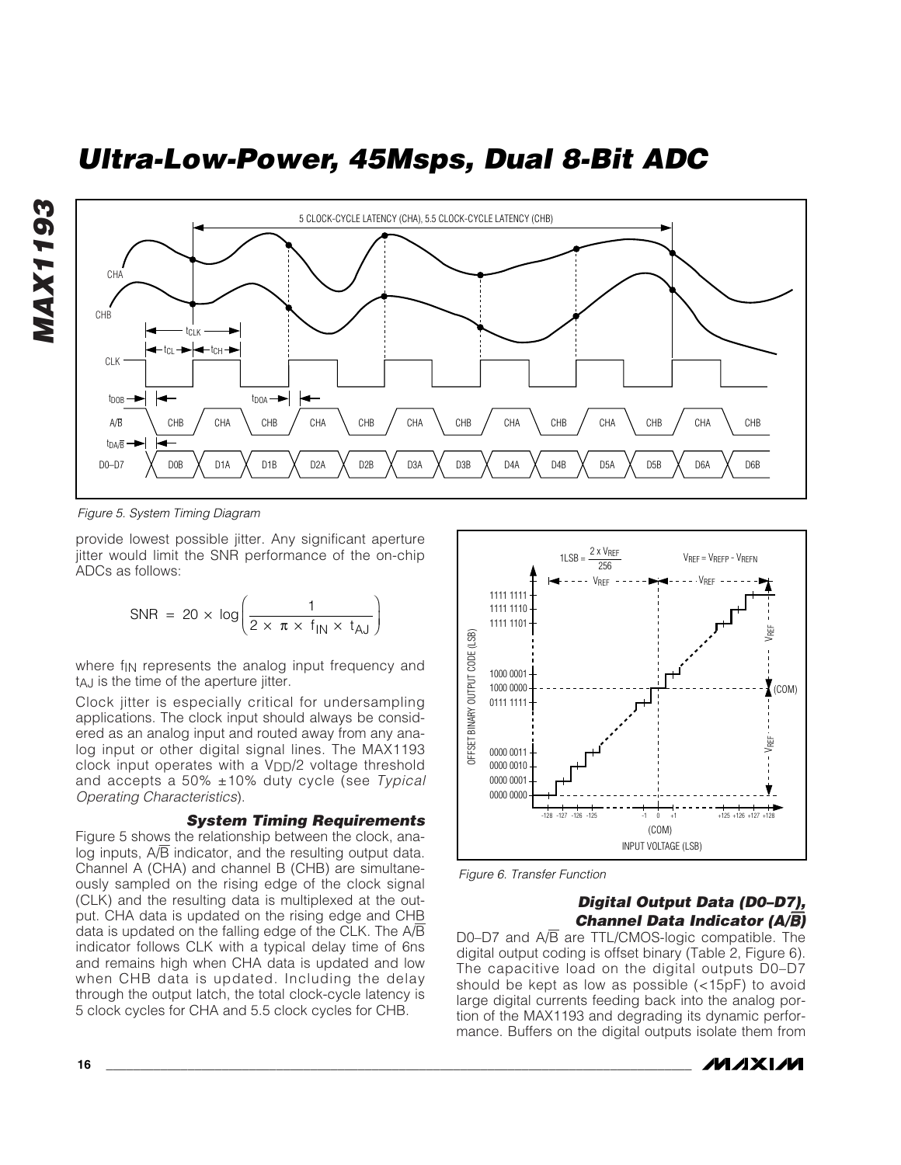



*Figure 5. System Timing Diagram*

provide lowest possible jitter. Any significant aperture jitter would limit the SNR performance of the on-chip ADCs as follows:

$$
SNR = 20 \times \log \left( \frac{1}{2 \times \pi \times f_{\text{IN}} \times t_{\text{AJ}}} \right)
$$

where f<sub>IN</sub> represents the analog input frequency and tAJ is the time of the aperture jitter.

Clock jitter is especially critical for undersampling applications. The clock input should always be considered as an analog input and routed away from any analog input or other digital signal lines. The MAX1193 clock input operates with a  $V<sub>DD</sub>/2$  voltage threshold and accepts a 50% ±10% duty cycle (see *Typical Operating Characteristics*).

#### *System Timing Requirements*

Figure 5 shows the relationship between the clock, analog inputs,  $A/\overline{B}$  indicator, and the resulting output data. Channel A (CHA) and channel B (CHB) are simultaneously sampled on the rising edge of the clock signal (CLK) and the resulting data is multiplexed at the output. CHA data is updated on the rising edge and CHB data is updated on the falling edge of the CLK. The A/B indicator follows CLK with a typical delay time of 6ns and remains high when CHA data is updated and low when CHB data is updated. Including the delay through the output latch, the total clock-cycle latency is 5 clock cycles for CHA and 5.5 clock cycles for CHB.



*Figure 6. Transfer Function*

#### *Digital Output Data (D0–D7), Channel Data Indicator (A/*B*)*

D0–D7 and A/B are TTL/CMOS-logic compatible. The digital output coding is offset binary (Table 2, Figure 6). The capacitive load on the digital outputs D0–D7 should be kept as low as possible (<15pF) to avoid large digital currents feeding back into the analog portion of the MAX1193 and degrading its dynamic performance. Buffers on the digital outputs isolate them from

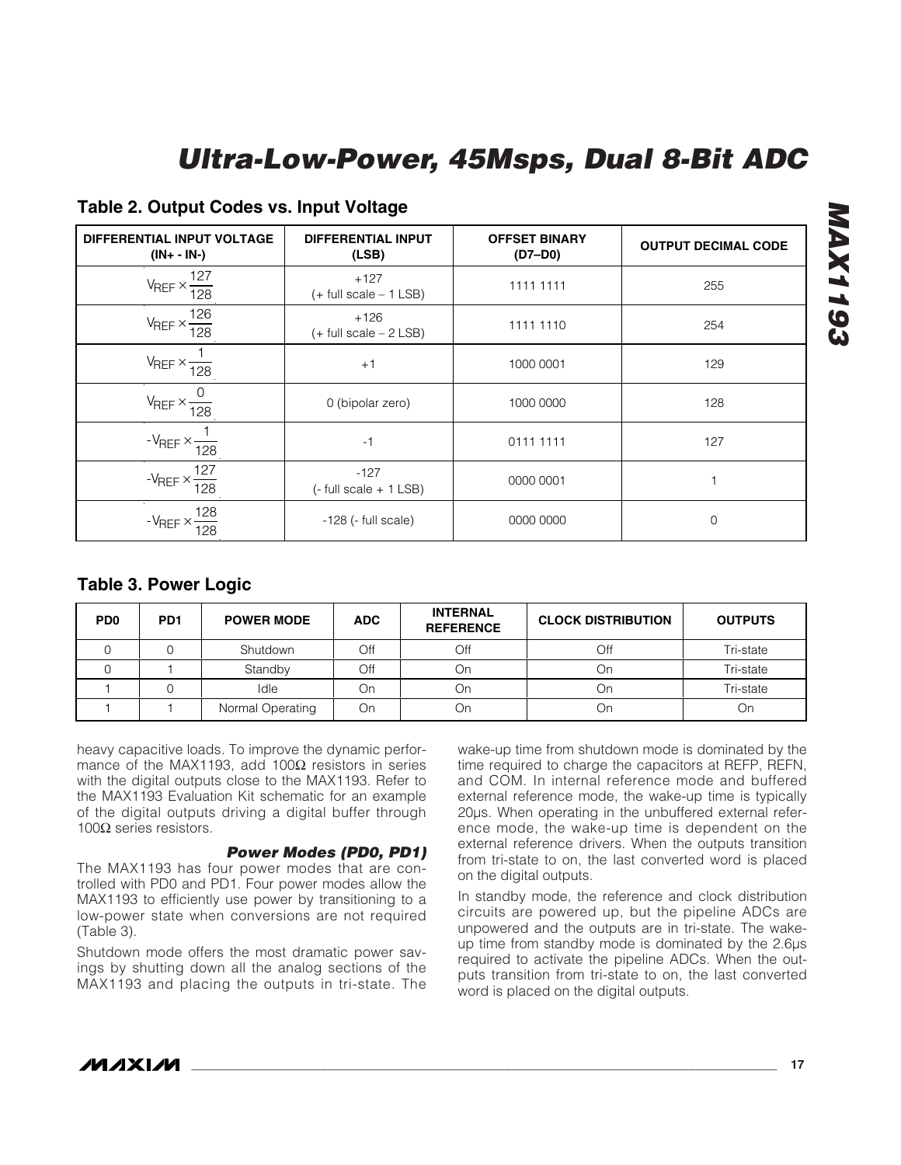| DIFFERENTIAL INPUT VOLTAGE<br>$(IN + - IN-)$      | <b>DIFFERENTIAL INPUT</b><br>(LSB)   | <b>OFFSET BINARY</b><br>$(D7-D0)$ | <b>OUTPUT DECIMAL CODE</b> |
|---------------------------------------------------|--------------------------------------|-----------------------------------|----------------------------|
| 127<br>$V_{REF} \times \frac{1}{128}$             | $+127$<br>$(+$ full scale $-1$ LSB)  | 1111 1111                         | 255                        |
| $V_{REF} \times \frac{126}{128}$                  | $+126$<br>$(+$ full scale $- 2$ LSB) | 1111 1110                         | 254                        |
| $V_{REF} \times \frac{1}{2}$<br>$\frac{1}{128}$   | $+1$                                 | 1000 0001                         | 129                        |
| $V_{REF} \times \frac{1}{2}$<br>$\frac{1}{128}$   | 0 (bipolar zero)                     | 1000 0000                         | 128                        |
| $-V_{REF} \times \frac{1}{2}$<br>$\overline{128}$ | $-1$                                 | 0111 1111                         | 127                        |
| 127<br>$-V_{REF} \times -$<br>$\frac{1}{128}$     | $-127$<br>$(-$ full scale $+$ 1 LSB) | 0000 0001                         |                            |
| 128<br>$-V_{REF}$ $\times$<br>$\overline{28}$     | $-128$ ( $-$ full scale)             | 0000 0000                         | $\mathbf 0$                |

#### **Table 2. Output Codes vs. Input Voltage**

#### **Table 3. Power Logic**

| P <sub>D</sub> <sub>0</sub> | PD <sub>1</sub> | <b>POWER MODE</b> | <b>ADC</b> | <b>INTERNAL</b><br><b>REFERENCE</b> | <b>CLOCK DISTRIBUTION</b> | <b>OUTPUTS</b> |
|-----------------------------|-----------------|-------------------|------------|-------------------------------------|---------------------------|----------------|
|                             |                 | Shutdown          | Off        | Off                                 | Off                       | Tri-state      |
|                             |                 | Standby           | Off        | Οn                                  | Οn                        | Tri-state      |
|                             |                 | Idle              | On         | Оn                                  | On                        | Tri-state      |
|                             |                 | Normal Operating  | On         | Dn.                                 | Οr                        | On             |

heavy capacitive loads. To improve the dynamic performance of the MAX1193, add 100 $\Omega$  resistors in series with the digital outputs close to the MAX1193. Refer to the MAX1193 Evaluation Kit schematic for an example of the digital outputs driving a digital buffer through 100 $Ω$  series resistors.

#### *Power Modes (PD0, PD1)*

The MAX1193 has four power modes that are controlled with PD0 and PD1. Four power modes allow the MAX1193 to efficiently use power by transitioning to a low-power state when conversions are not required (Table 3).

Shutdown mode offers the most dramatic power savings by shutting down all the analog sections of the MAX1193 and placing the outputs in tri-state. The wake-up time from shutdown mode is dominated by the time required to charge the capacitors at REFP, REFN, and COM. In internal reference mode and buffered external reference mode, the wake-up time is typically 20µs. When operating in the unbuffered external reference mode, the wake-up time is dependent on the external reference drivers. When the outputs transition from tri-state to on, the last converted word is placed on the digital outputs.

In standby mode, the reference and clock distribution circuits are powered up, but the pipeline ADCs are unpowered and the outputs are in tri-state. The wakeup time from standby mode is dominated by the 2.6µs required to activate the pipeline ADCs. When the outputs transition from tri-state to on, the last converted word is placed on the digital outputs.

**MAX1193** 

*MAX1193*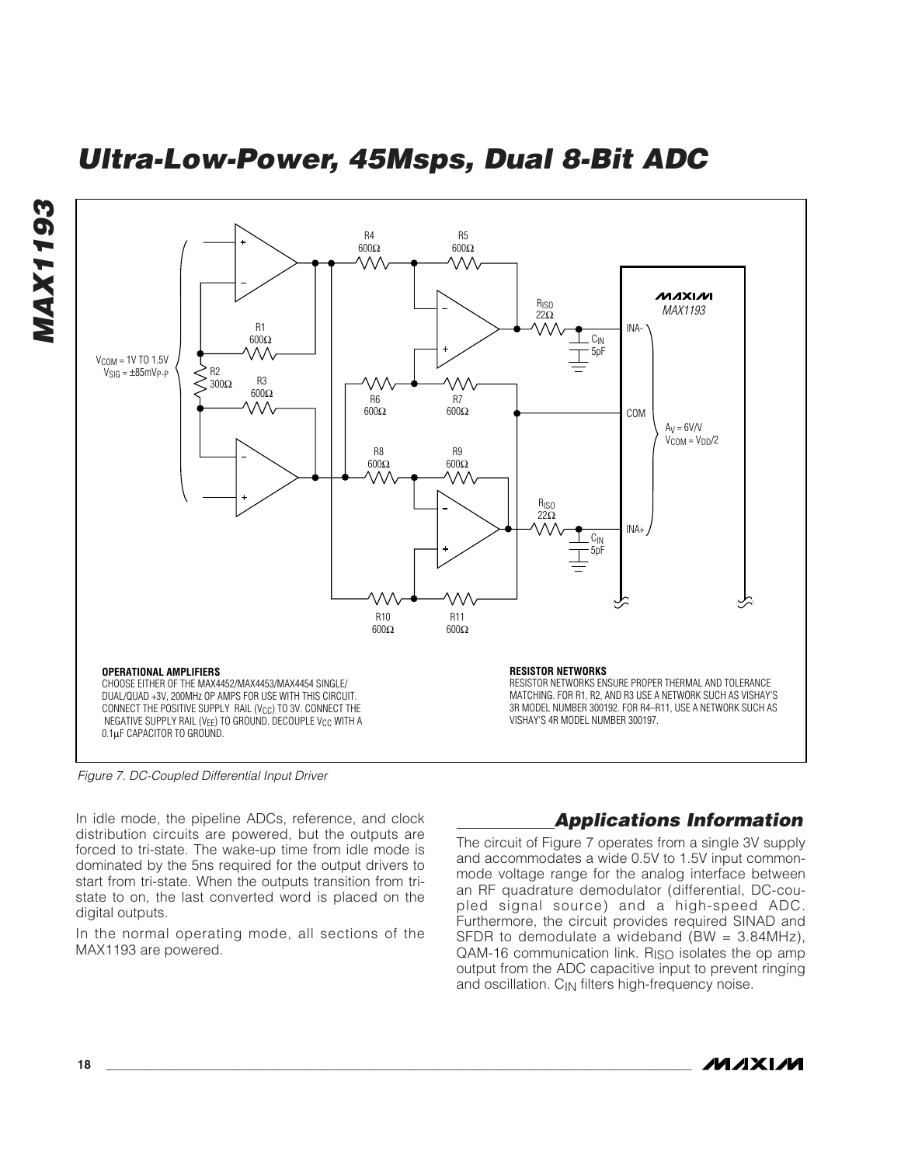

*Figure 7. DC-Coupled Differential Input Driver*

In idle mode, the pipeline ADCs, reference, and clock distribution circuits are powered, but the outputs are forced to tri-state. The wake-up time from idle mode is dominated by the 5ns required for the output drivers to start from tri-state. When the outputs transition from tristate to on, the last converted word is placed on the digital outputs.

In the normal operating mode, all sections of the MAX1193 are powered.

#### *Applications Information*

The circuit of Figure 7 operates from a single 3V supply and accommodates a wide 0.5V to 1.5V input commonmode voltage range for the analog interface between an RF quadrature demodulator (differential, DC-coupled signal source) and a high-speed ADC. Furthermore, the circuit provides required SINAD and SFDR to demodulate a wideband (BW = 3.84MHz),  $QAM-16$  communication link.  $R<sub>ISO</sub>$  isolates the op amp output from the ADC capacitive input to prevent ringing and oscillation.  $C_{\text{IN}}$  filters high-frequency noise.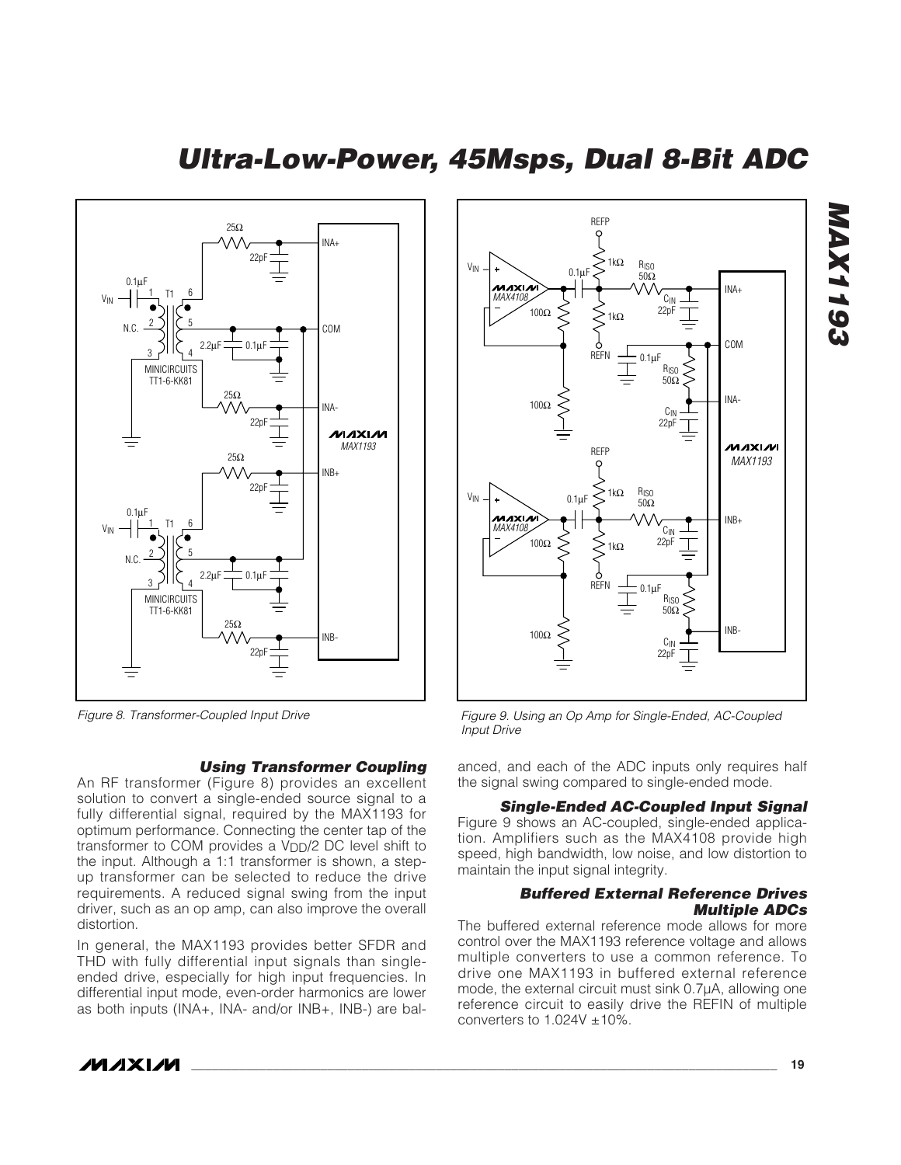

*Figure 8. Transformer-Coupled Input Drive*

#### *Using Transformer Coupling*

An RF transformer (Figure 8) provides an excellent solution to convert a single-ended source signal to a fully differential signal, required by the MAX1193 for optimum performance. Connecting the center tap of the transformer to COM provides a  $V<sub>DD</sub>/2$  DC level shift to the input. Although a 1:1 transformer is shown, a stepup transformer can be selected to reduce the drive requirements. A reduced signal swing from the input driver, such as an op amp, can also improve the overall distortion.

In general, the MAX1193 provides better SFDR and THD with fully differential input signals than singleended drive, especially for high input frequencies. In differential input mode, even-order harmonics are lower as both inputs (INA+, INA- and/or INB+, INB-) are bal-



*Figure 9. Using an Op Amp for Single-Ended, AC-Coupled Input Drive*

anced, and each of the ADC inputs only requires half the signal swing compared to single-ended mode.

#### *Single-Ended AC-Coupled Input Signal*

Figure 9 shows an AC-coupled, single-ended application. Amplifiers such as the MAX4108 provide high speed, high bandwidth, low noise, and low distortion to maintain the input signal integrity.

#### *Buffered External Reference Drives Multiple ADCs*

The buffered external reference mode allows for more control over the MAX1193 reference voltage and allows multiple converters to use a common reference. To drive one MAX1193 in buffered external reference mode, the external circuit must sink 0.7µA, allowing one reference circuit to easily drive the REFIN of multiple converters to  $1.024V \pm 10\%$ .

#### **MAXM**

*MAX1193*

**AAX1193**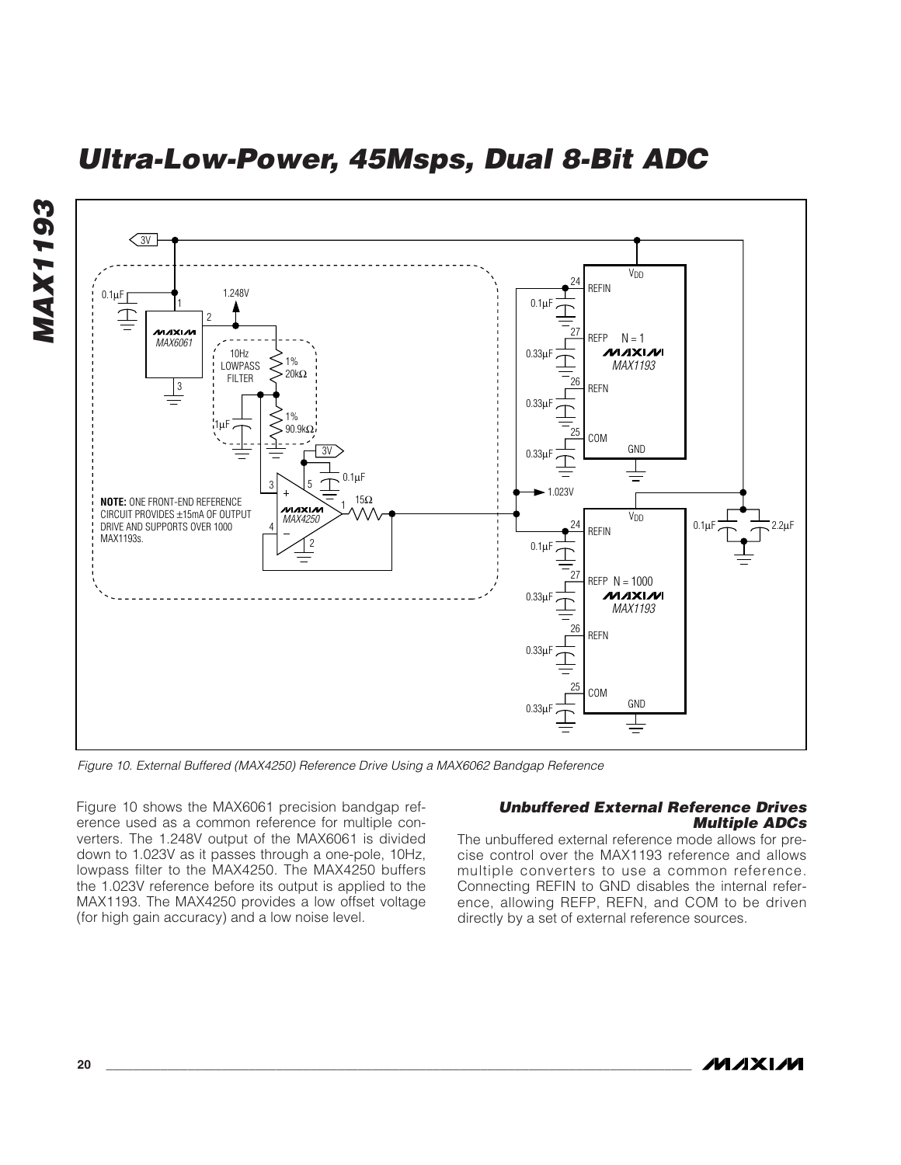



*Figure 10. External Buffered (MAX4250) Reference Drive Using a MAX6062 Bandgap Reference*

Figure 10 shows the MAX6061 precision bandgap reference used as a common reference for multiple converters. The 1.248V output of the MAX6061 is divided down to 1.023V as it passes through a one-pole, 10Hz, lowpass filter to the MAX4250. The MAX4250 buffers the 1.023V reference before its output is applied to the MAX1193. The MAX4250 provides a low offset voltage (for high gain accuracy) and a low noise level.

#### *Unbuffered External Reference Drives Multiple ADCs*

The unbuffered external reference mode allows for precise control over the MAX1193 reference and allows multiple converters to use a common reference. Connecting REFIN to GND disables the internal reference, allowing REFP, REFN, and COM to be driven directly by a set of external reference sources.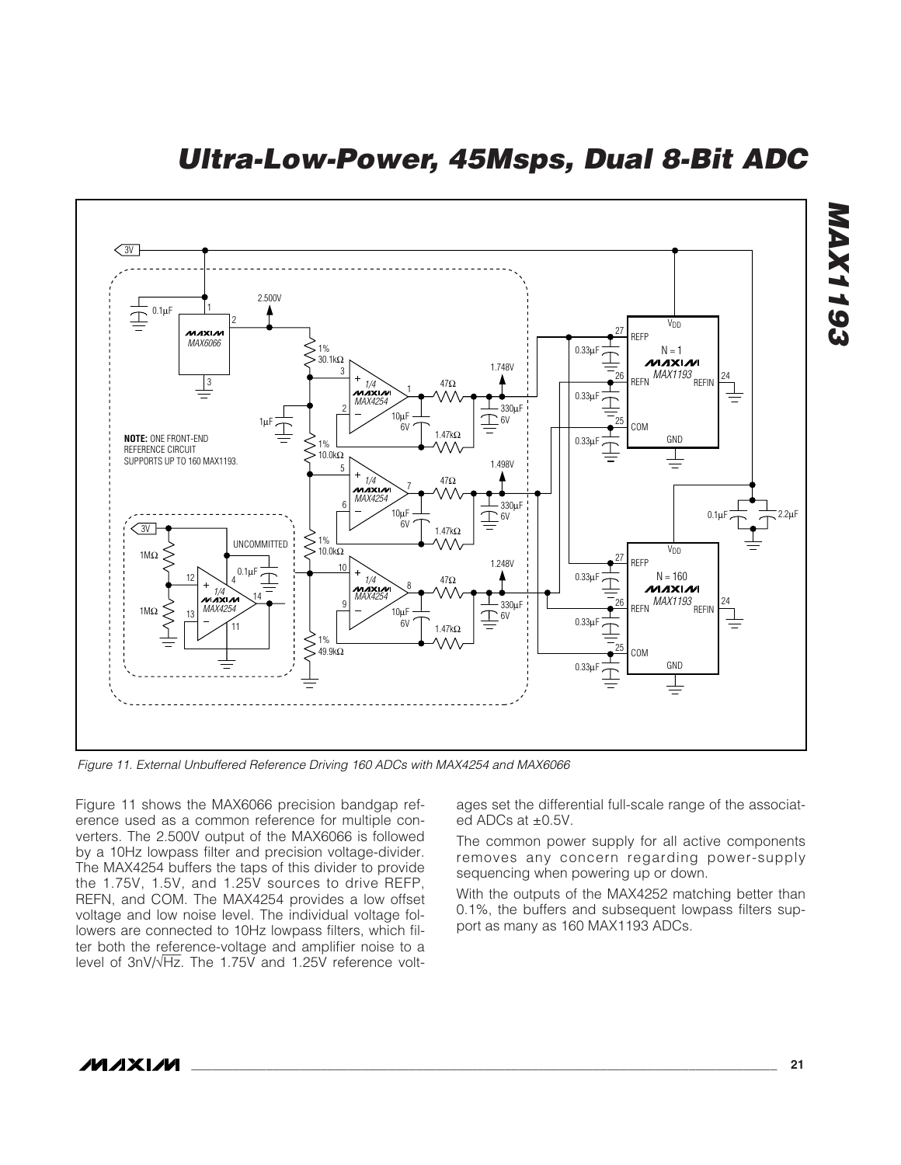*Ultra-Low-Power, 45Msps, Dual 8-Bit ADC*



*Figure 11. External Unbuffered Reference Driving 160 ADCs with MAX4254 and MAX6066*

Figure 11 shows the MAX6066 precision bandgap reference used as a common reference for multiple converters. The 2.500V output of the MAX6066 is followed by a 10Hz lowpass filter and precision voltage-divider. The MAX4254 buffers the taps of this divider to provide the 1.75V, 1.5V, and 1.25V sources to drive REFP, REFN, and COM. The MAX4254 provides a low offset voltage and low noise level. The individual voltage followers are connected to 10Hz lowpass filters, which filter both the reference-voltage and amplifier noise to a level of 3nV/√Hz. The 1.75V and 1.25V reference voltages set the differential full-scale range of the associated ADCs at ±0.5V.

The common power supply for all active components removes any concern regarding power-supply sequencing when powering up or down.

With the outputs of the MAX4252 matching better than 0.1%, the buffers and subsequent lowpass filters support as many as 160 MAX1193 ADCs.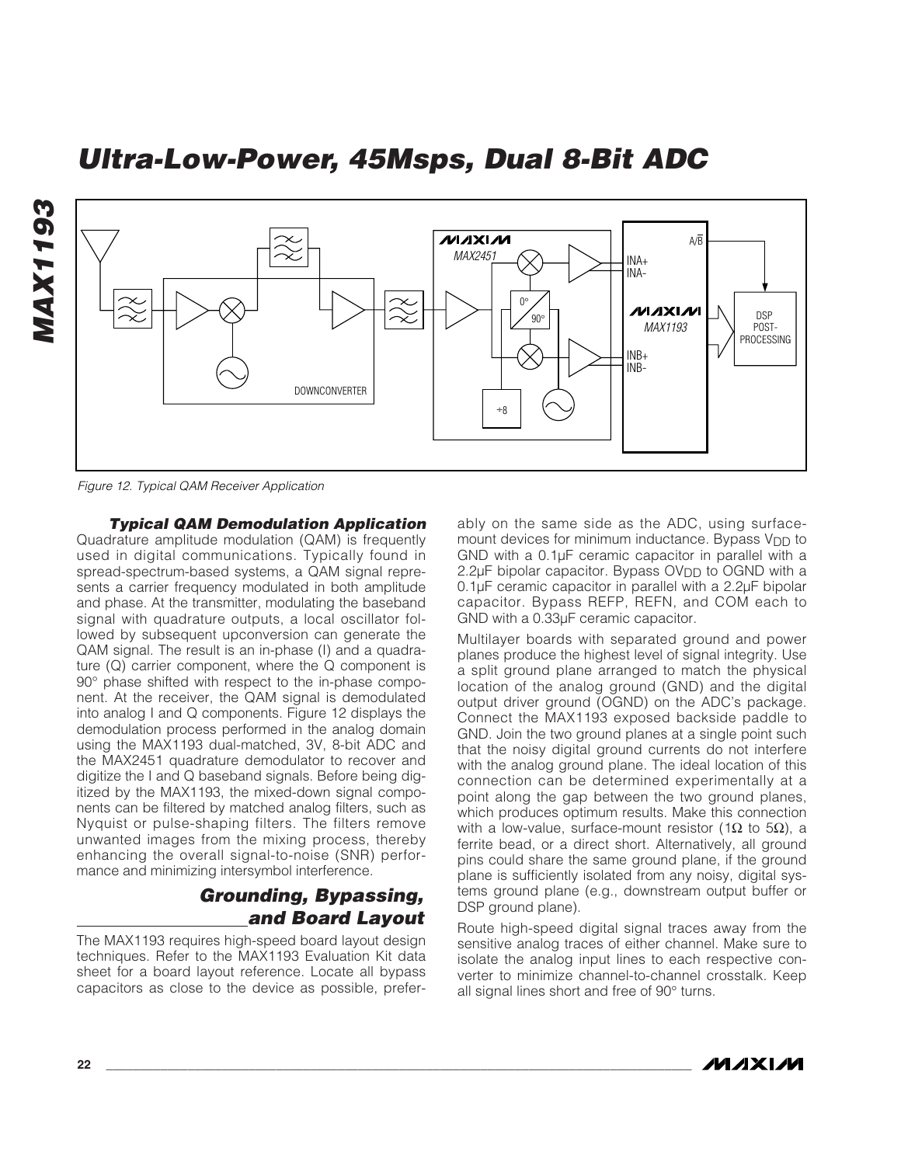

*Figure 12. Typical QAM Receiver Application*

#### *Typical QAM Demodulation Application*

Quadrature amplitude modulation (QAM) is frequently used in digital communications. Typically found in spread-spectrum-based systems, a QAM signal represents a carrier frequency modulated in both amplitude and phase. At the transmitter, modulating the baseband signal with quadrature outputs, a local oscillator followed by subsequent upconversion can generate the QAM signal. The result is an in-phase (I) and a quadrature (Q) carrier component, where the Q component is 90° phase shifted with respect to the in-phase component. At the receiver, the QAM signal is demodulated into analog I and Q components. Figure 12 displays the demodulation process performed in the analog domain using the MAX1193 dual-matched, 3V, 8-bit ADC and the MAX2451 quadrature demodulator to recover and digitize the I and Q baseband signals. Before being digitized by the MAX1193, the mixed-down signal components can be filtered by matched analog filters, such as Nyquist or pulse-shaping filters. The filters remove unwanted images from the mixing process, thereby enhancing the overall signal-to-noise (SNR) performance and minimizing intersymbol interference.

#### *Grounding, Bypassing, and Board Layout*

The MAX1193 requires high-speed board layout design techniques. Refer to the MAX1193 Evaluation Kit data sheet for a board layout reference. Locate all bypass capacitors as close to the device as possible, preferably on the same side as the ADC, using surfacemount devices for minimum inductance. Bypass V<sub>DD</sub> to GND with a 0.1µF ceramic capacitor in parallel with a 2.2 $\mu$ F bipolar capacitor. Bypass OV<sub>DD</sub> to OGND with a 0.1µF ceramic capacitor in parallel with a 2.2µF bipolar capacitor. Bypass REFP, REFN, and COM each to GND with a 0.33µF ceramic capacitor.

Multilayer boards with separated ground and power planes produce the highest level of signal integrity. Use a split ground plane arranged to match the physical location of the analog ground (GND) and the digital output driver ground (OGND) on the ADC's package. Connect the MAX1193 exposed backside paddle to GND. Join the two ground planes at a single point such that the noisy digital ground currents do not interfere with the analog ground plane. The ideal location of this connection can be determined experimentally at a point along the gap between the two ground planes, which produces optimum results. Make this connection with a low-value, surface-mount resistor (1 $\Omega$  to 5 $\Omega$ ), a ferrite bead, or a direct short. Alternatively, all ground pins could share the same ground plane, if the ground plane is sufficiently isolated from any noisy, digital systems ground plane (e.g., downstream output buffer or DSP ground plane).

Route high-speed digital signal traces away from the sensitive analog traces of either channel. Make sure to isolate the analog input lines to each respective converter to minimize channel-to-channel crosstalk. Keep all signal lines short and free of 90° turns.

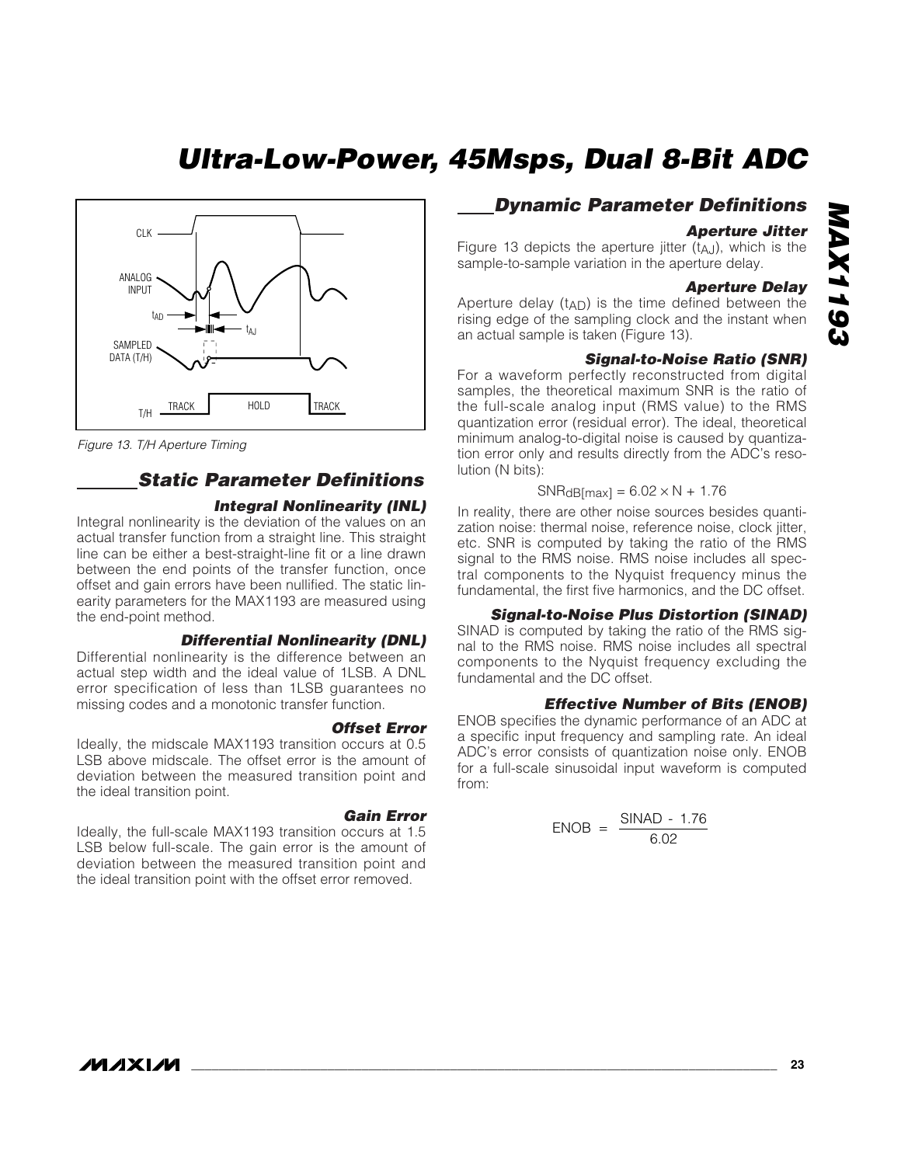

*Figure 13. T/H Aperture Timing*

#### *Static Parameter Definitions*

#### *Integral Nonlinearity (INL)*

Integral nonlinearity is the deviation of the values on an actual transfer function from a straight line. This straight line can be either a best-straight-line fit or a line drawn between the end points of the transfer function, once offset and gain errors have been nullified. The static linearity parameters for the MAX1193 are measured using the end-point method.

#### *Differential Nonlinearity (DNL)*

Differential nonlinearity is the difference between an actual step width and the ideal value of 1LSB. A DNL error specification of less than 1LSB guarantees no missing codes and a monotonic transfer function.

#### *Offset Error*

Ideally, the midscale MAX1193 transition occurs at 0.5 LSB above midscale. The offset error is the amount of deviation between the measured transition point and the ideal transition point.

#### *Gain Error*

Ideally, the full-scale MAX1193 transition occurs at 1.5 LSB below full-scale. The gain error is the amount of deviation between the measured transition point and the ideal transition point with the offset error removed.

#### *Dynamic Parameter Definitions*

#### *Aperture Jitter*

Figure 13 depicts the aperture jitter  $(t_{A,J})$ , which is the sample-to-sample variation in the aperture delay.

#### *Aperture Delay*

Aperture delay (t<sub>AD</sub>) is the time defined between the rising edge of the sampling clock and the instant when an actual sample is taken (Figure 13).

#### *Signal-to-Noise Ratio (SNR)*

For a waveform perfectly reconstructed from digital samples, the theoretical maximum SNR is the ratio of the full-scale analog input (RMS value) to the RMS quantization error (residual error). The ideal, theoretical minimum analog-to-digital noise is caused by quantization error only and results directly from the ADC's resolution (N bits):

#### $SNR<sub>d</sub>B<sub>[max]</sub> = 6.02 \times N + 1.76$

In reality, there are other noise sources besides quantization noise: thermal noise, reference noise, clock jitter, etc. SNR is computed by taking the ratio of the RMS signal to the RMS noise. RMS noise includes all spectral components to the Nyquist frequency minus the fundamental, the first five harmonics, and the DC offset.

#### *Signal-to-Noise Plus Distortion (SINAD)*

SINAD is computed by taking the ratio of the RMS signal to the RMS noise. RMS noise includes all spectral components to the Nyquist frequency excluding the fundamental and the DC offset.

#### *Effective Number of Bits (ENOB)*

ENOB specifies the dynamic performance of an ADC at a specific input frequency and sampling rate. An ideal ADC's error consists of quantization noise only. ENOB for a full-scale sinusoidal input waveform is computed from:

$$
ENOB = \frac{SINAD - 1.76}{6.02}
$$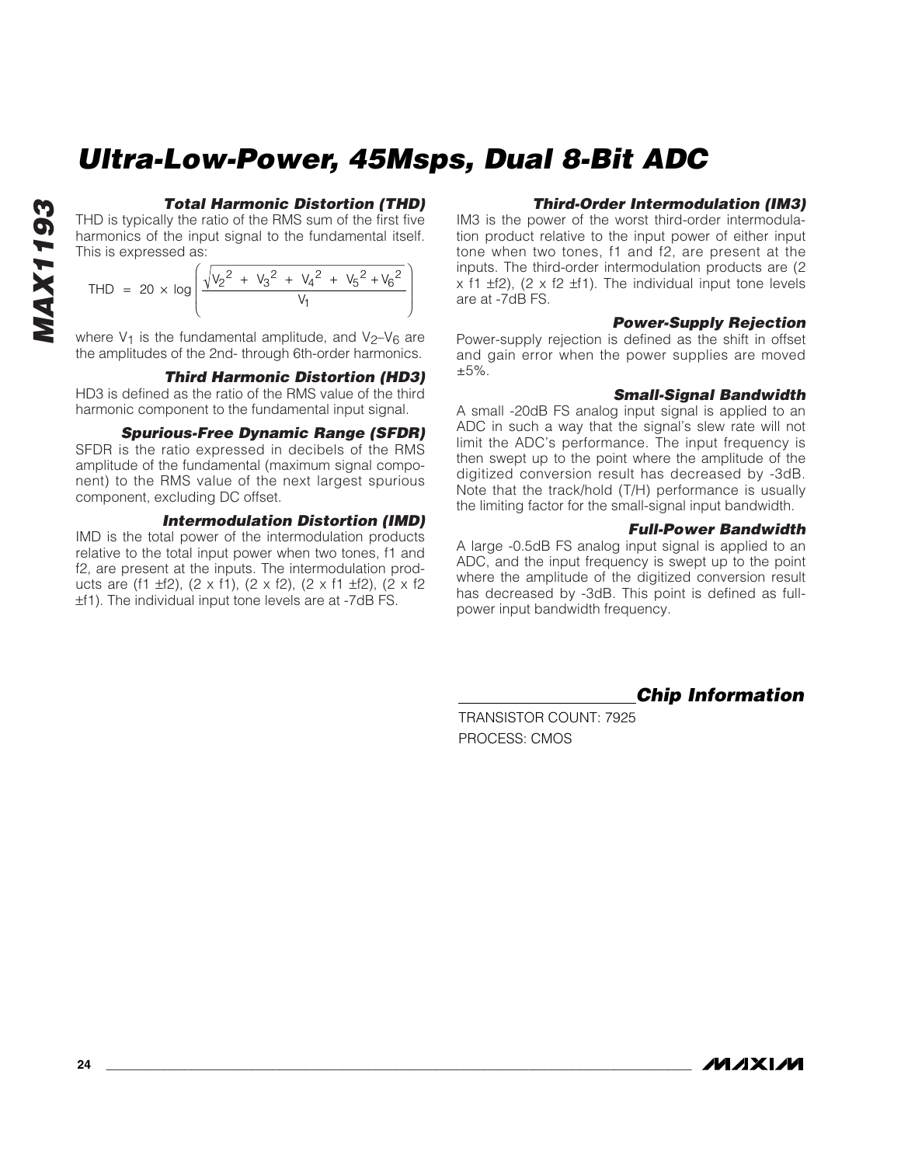## *MAX1193* **MAX1193**

#### *Total Harmonic Distortion (THD)*

THD is typically the ratio of the RMS sum of the first five harmonics of the input signal to the fundamental itself. This is expressed as:

$$
\text{THD} = 20 \times \log \left( \frac{\sqrt{v_2^2 + v_3^2 + v_4^2 + v_5^2 + v_6^2}}{v_1} \right)
$$

where  $V_1$  is the fundamental amplitude, and  $V_2-V_6$  are the amplitudes of the 2nd- through 6th-order harmonics.

#### *Third Harmonic Distortion (HD3)*

HD3 is defined as the ratio of the RMS value of the third harmonic component to the fundamental input signal.

#### *Spurious-Free Dynamic Range (SFDR)*

SFDR is the ratio expressed in decibels of the RMS amplitude of the fundamental (maximum signal component) to the RMS value of the next largest spurious component, excluding DC offset.

#### *Intermodulation Distortion (IMD)*

IMD is the total power of the intermodulation products relative to the total input power when two tones, f1 and f2, are present at the inputs. The intermodulation products are (f1 ±f2), (2 x f1), (2 x f2), (2 x f1 ±f2), (2 x f2 ±f1). The individual input tone levels are at -7dB FS.

#### *Third-Order Intermodulation (IM3)*

IM3 is the power of the worst third-order intermodulation product relative to the input power of either input tone when two tones, f1 and f2, are present at the inputs. The third-order intermodulation products are (2  $x$  f1  $\pm$ f2), (2  $x$  f2  $\pm$ f1). The individual input tone levels are at -7dB FS.

#### *Power-Supply Rejection*

Power-supply rejection is defined as the shift in offset and gain error when the power supplies are moved ±5%.

#### *Small-Signal Bandwidth*

A small -20dB FS analog input signal is applied to an ADC in such a way that the signal's slew rate will not limit the ADC's performance. The input frequency is then swept up to the point where the amplitude of the digitized conversion result has decreased by -3dB. Note that the track/hold (T/H) performance is usually the limiting factor for the small-signal input bandwidth.

#### *Full-Power Bandwidth*

A large -0.5dB FS analog input signal is applied to an ADC, and the input frequency is swept up to the point where the amplitude of the digitized conversion result has decreased by -3dB. This point is defined as fullpower input bandwidth frequency.

*Chip Information*

TRANSISTOR COUNT: 7925 PROCESS: CMOS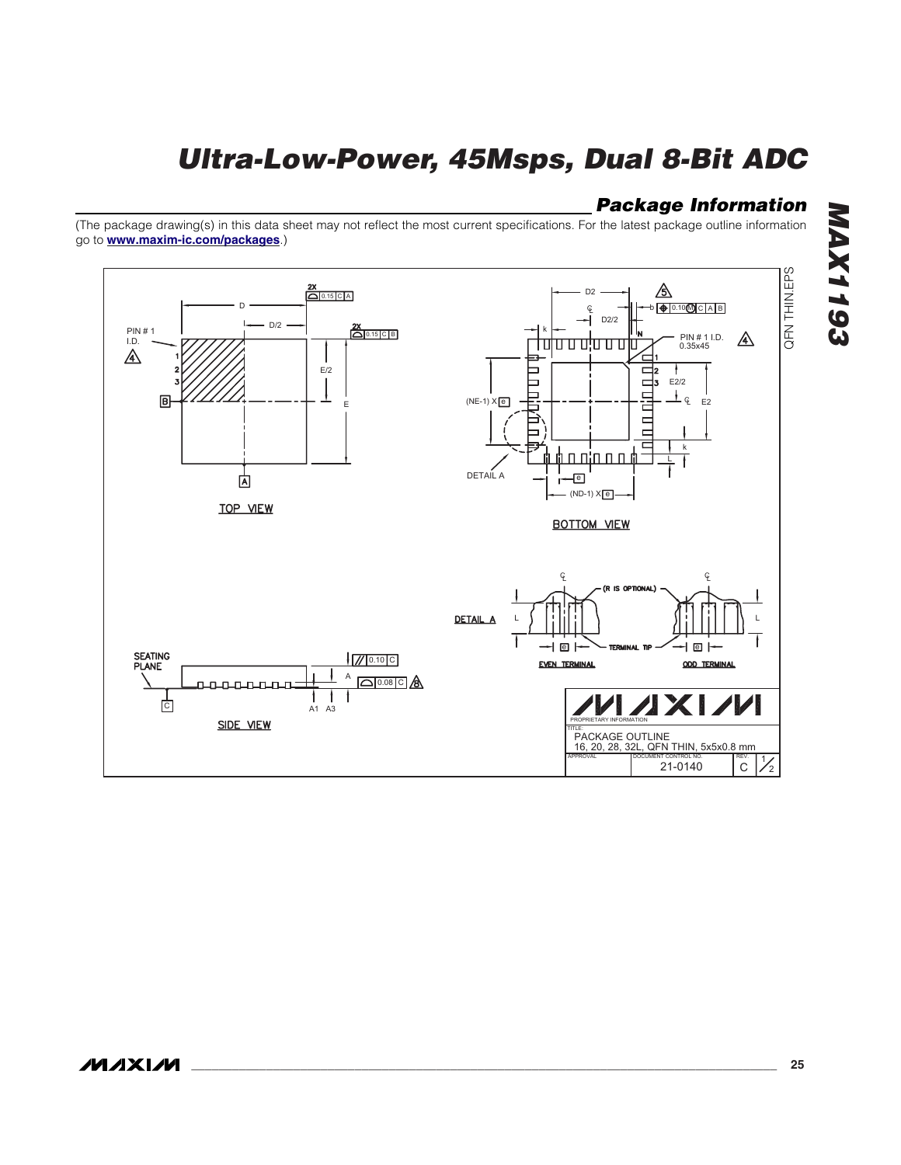#### *Package Information*

(The package drawing(s) in this data sheet may not reflect the most current specifications. For the latest package outline information go to **[www.maxim-ic.com/packages](http://www.maxim-ic.com/packages)**.)